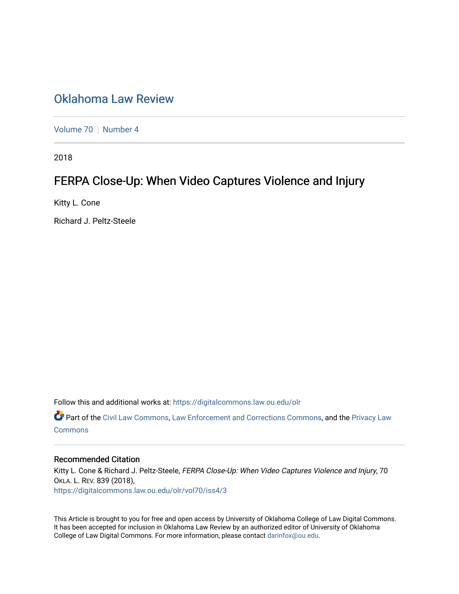# Oklahoma Law Review

[Volume 70](https://digitalcommons.law.ou.edu/olr/vol70) | [Number 4](https://digitalcommons.law.ou.edu/olr/vol70/iss4)

2018

# FERPA Close-Up: When Video Captures Violence and Injury

Kitty L. Cone

Richard J. Peltz-Steele

Follow this and additional works at: [https://digitalcommons.law.ou.edu/olr](https://digitalcommons.law.ou.edu/olr?utm_source=digitalcommons.law.ou.edu%2Folr%2Fvol70%2Fiss4%2F3&utm_medium=PDF&utm_campaign=PDFCoverPages)

 Part of the [Civil Law Commons](http://network.bepress.com/hgg/discipline/835?utm_source=digitalcommons.law.ou.edu%2Folr%2Fvol70%2Fiss4%2F3&utm_medium=PDF&utm_campaign=PDFCoverPages), [Law Enforcement and Corrections Commons](http://network.bepress.com/hgg/discipline/854?utm_source=digitalcommons.law.ou.edu%2Folr%2Fvol70%2Fiss4%2F3&utm_medium=PDF&utm_campaign=PDFCoverPages), and the [Privacy Law](http://network.bepress.com/hgg/discipline/1234?utm_source=digitalcommons.law.ou.edu%2Folr%2Fvol70%2Fiss4%2F3&utm_medium=PDF&utm_campaign=PDFCoverPages) **[Commons](http://network.bepress.com/hgg/discipline/1234?utm_source=digitalcommons.law.ou.edu%2Folr%2Fvol70%2Fiss4%2F3&utm_medium=PDF&utm_campaign=PDFCoverPages)** 

## **Recommended Citation**

Kitty L. Cone & Richard J. Peltz-Steele, FERPA Close-Up: When Video Captures Violence and Injury, 70 OKLA. L. REV. 839 (2018), [https://digitalcommons.law.ou.edu/olr/vol70/iss4/3](https://digitalcommons.law.ou.edu/olr/vol70/iss4/3?utm_source=digitalcommons.law.ou.edu%2Folr%2Fvol70%2Fiss4%2F3&utm_medium=PDF&utm_campaign=PDFCoverPages) 

This Article is brought to you for free and open access by University of Oklahoma College of Law Digital Commons. It has been accepted for inclusion in Oklahoma Law Review by an authorized editor of University of Oklahoma College of Law Digital Commons. For more information, please contact [darinfox@ou.edu.](mailto:darinfox@ou.edu)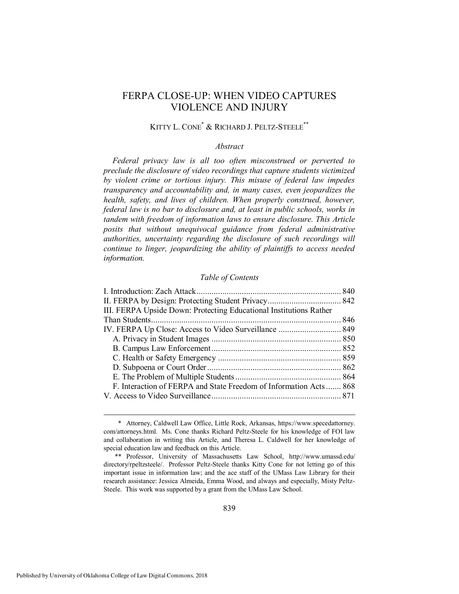## FERPA CLOSE-UP: WHEN VIDEO CAPTURES VIOLENCE AND INJURY

## KITTY L. CONE\* & RICHARD J. PELTZ-STEELE\*\*

#### *Abstract*

*Federal privacy law is all too often misconstrued or perverted to preclude the disclosure of video recordings that capture students victimized by violent crime or tortious injury. This misuse of federal law impedes transparency and accountability and, in many cases, even jeopardizes the health, safety, and lives of children. When properly construed, however, federal law is no bar to disclosure and, at least in public schools, works in tandem with freedom of information laws to ensure disclosure. This Article posits that without unequivocal guidance from federal administrative authorities, uncertainty regarding the disclosure of such recordings will continue to linger, jeopardizing the ability of plaintiffs to access needed information.* 

#### *Table of Contents*

| III. FERPA Upside Down: Protecting Educational Institutions Rather |  |
|--------------------------------------------------------------------|--|
|                                                                    |  |
|                                                                    |  |
|                                                                    |  |
|                                                                    |  |
|                                                                    |  |
|                                                                    |  |
|                                                                    |  |
| F. Interaction of FERPA and State Freedom of Information Acts 868  |  |
|                                                                    |  |
|                                                                    |  |

 <sup>\*</sup> Attorney, Caldwell Law Office, Little Rock, Arkansas, https://www.specedattorney. com/attorneys.html. Ms. Cone thanks Richard Peltz-Steele for his knowledge of FOI law and collaboration in writing this Article, and Theresa L. Caldwell for her knowledge of special education law and feedback on this Article.

 <sup>\*\*</sup> Professor, University of Massachusetts Law School, http://www.umassd.edu/ directory/rpeltzsteele/. Professor Peltz-Steele thanks Kitty Cone for not letting go of this important issue in information law; and the ace staff of the UMass Law Library for their research assistance: Jessica Almeida, Emma Wood, and always and especially, Misty Peltz-Steele. This work was supported by a grant from the UMass Law School.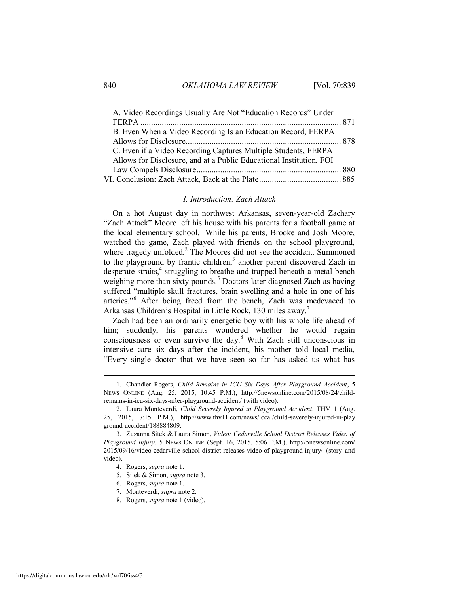| A. Video Recordings Usually Are Not "Education Records" Under       |  |
|---------------------------------------------------------------------|--|
|                                                                     |  |
| B. Even When a Video Recording Is an Education Record, FERPA        |  |
|                                                                     |  |
| C. Even if a Video Recording Captures Multiple Students, FERPA      |  |
| Allows for Disclosure, and at a Public Educational Institution, FOI |  |
|                                                                     |  |
|                                                                     |  |

#### <span id="page-2-3"></span><span id="page-2-2"></span><span id="page-2-1"></span>*I. Introduction: Zach Attack*

<span id="page-2-0"></span>On a hot August day in northwest Arkansas, seven-year-old Zachary "Zach Attack" Moore left his house with his parents for a football game at the local elementary school.<sup>1</sup> While his parents, Brooke and Josh Moore, watched the game, Zach played with friends on the school playground, where tragedy unfolded.<sup>2</sup> The Moores did not see the accident. Summoned to the playground by frantic children,<sup>3</sup> another parent discovered Zach in desperate straits,<sup>4</sup> struggling to breathe and trapped beneath a metal bench weighing more than sixty pounds.<sup>5</sup> Doctors later diagnosed Zach as having suffered "multiple skull fractures, brain swelling and a hole in one of his arteries."<sup>6</sup> After being freed from the bench, Zach was medevaced to Arkansas Children's Hospital in Little Rock, 130 miles away.<sup>7</sup>

Zach had been an ordinarily energetic boy with his whole life ahead of him; suddenly, his parents wondered whether he would regain consciousness or even survive the day.<sup>8</sup> With Zach still unconscious in intensive care six days after the incident, his mother told local media, "Every single doctor that we have seen so far has asked us what has

- 6. Rogers, *supra* note [1.](#page-2-1)
- 7. Monteverdi, *supra* not[e 2.](#page-2-3)
- 8. Rogers, *supra* note [1 \(](#page-2-1)video).

 <sup>1.</sup> Chandler Rogers, *Child Remains in ICU Six Days After Playground Accident*, 5 NEWS ONLINE (Aug. 25, 2015, 10:45 P.M.), http://5newsonline.com/2015/08/24/childremains-in-icu-six-days-after-playground-accident/ (with video).

 <sup>2.</sup> Laura Monteverdi, *Child Severely Injured in Playground Accident*, THV11 (Aug. 25, 2015, 7:15 P.M.), http://www.thv11.com/news/local/child-severely-injured-in-play ground-accident/188884809.

 <sup>3.</sup> Zuzanna Sitek & Laura Simon, *Video: Cedarville School District Releases Video of Playground Injury*, 5 NEWS ONLINE (Sept. 16, 2015, 5:06 P.M.), http://5newsonline.com/ 2015/09/16/video-cedarville-school-district-releases-video-of-playground-injury/ (story and video).

 <sup>4.</sup> Rogers, *supra* note [1.](#page-2-1) 

 <sup>5.</sup> Sitek & Simon, *supra* not[e 3.](#page-2-2)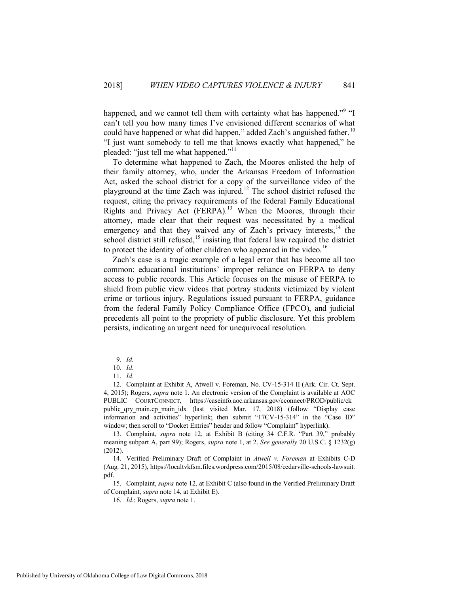happened, and we cannot tell them with certainty what has happened."<sup>9</sup> "I can't tell you how many times I've envisioned different scenarios of what could have happened or what did happen," added Zach's anguished father.<sup>10</sup> "I just want somebody to tell me that knows exactly what happened," he pleaded: "just tell me what happened."<sup>11</sup>

To determine what happened to Zach, the Moores enlisted the help of their family attorney, who, under the Arkansas Freedom of Information Act, asked the school district for a copy of the surveillance video of the playground at the time Zach was injured.<sup>12</sup> The school district refused the request, citing the privacy requirements of the federal Family Educational Rights and Privacy Act (FERPA).<sup>13</sup> When the Moores, through their attorney, made clear that their request was necessitated by a medical emergency and that they waived any of Zach's privacy interests, $14$  the school district still refused,  $15$  insisting that federal law required the district to protect the identity of other children who appeared in the video.<sup>16</sup>

Zach's case is a tragic example of a legal error that has become all too common: educational institutions' improper reliance on FERPA to deny access to public records. This Article focuses on the misuse of FERPA to shield from public view videos that portray students victimized by violent crime or tortious injury. Regulations issued pursuant to FERPA, guidance from the federal Family Policy Compliance Office (FPCO), and judicial precedents all point to the propriety of public disclosure. Yet this problem persists, indicating an urgent need for unequivocal resolution.

 $\overline{a}$ 

 15. Complaint, *supra* note 12, at Exhibit C (also found in the Verified Preliminary Draft of Complaint, *supra* note 14, at Exhibit E).

 <sup>9.</sup> *Id.*

 <sup>10.</sup> *Id.*

 <sup>11.</sup> *Id.*

 <sup>12.</sup> Complaint at Exhibit A, Atwell v. Foreman, No. CV-15-314 II (Ark. Cir. Ct. Sept. 4, 2015); Rogers, *supra* note [1.](#page-2-1) An electronic version of the Complaint is available at AOC PUBLIC COURTCONNECT, https://caseinfo.aoc.arkansas.gov/cconnect/PROD/public/ck\_ public qry main.cp main idx (last visited Mar. 17, 2018) (follow "Display case information and activities" hyperlink; then submit "17CV-15-314" in the "Case ID" window; then scroll to "Docket Entries" header and follow "Complaint" hyperlink).

 <sup>13.</sup> Complaint, *supra* note 12, at Exhibit B (citing 34 C.F.R. "Part 39," probably meaning subpart A, part 99); Rogers, *supra* note 1, at 2. *See generally* 20 U.S.C. § 1232(g) (2012).

 <sup>14.</sup> Verified Preliminary Draft of Complaint in *Atwell v. Foreman* at Exhibits C-D (Aug. 21, 2015), https://localtvkfsm.files.wordpress.com/2015/08/cedarville-schools-lawsuit. pdf.

 <sup>16.</sup> *Id.*; Rogers, *supra* not[e 1.](#page-2-1)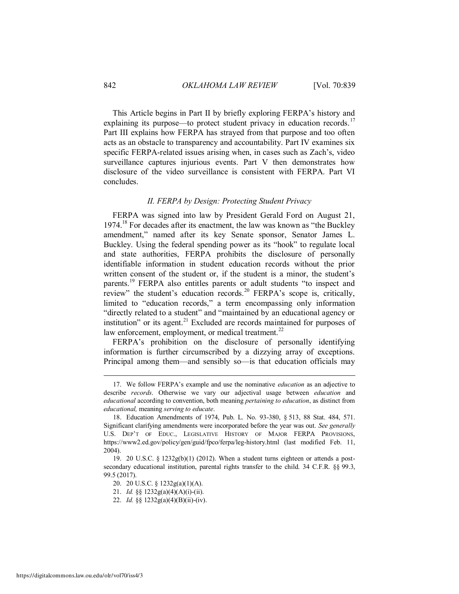This Article begins in Part II by briefly exploring FERPA's history and explaining its purpose—to protect student privacy in education records.<sup>17</sup> Part III explains how FERPA has strayed from that purpose and too often acts as an obstacle to transparency and accountability. Part IV examines six specific FERPA-related issues arising when, in cases such as Zach's, video surveillance captures injurious events. Part V then demonstrates how disclosure of the video surveillance is consistent with FERPA. Part VI concludes.

#### *II. FERPA by Design: Protecting Student Privacy*

<span id="page-4-0"></span>FERPA was signed into law by President Gerald Ford on August 21,  $1974<sup>18</sup>$  For decades after its enactment, the law was known as "the Buckley" amendment," named after its key Senate sponsor, Senator James L. Buckley. Using the federal spending power as its "hook" to regulate local and state authorities, FERPA prohibits the disclosure of personally identifiable information in student education records without the prior written consent of the student or, if the student is a minor, the student's parents.<sup>19</sup> FERPA also entitles parents or adult students "to inspect and review" the student's education records.<sup>20</sup> FERPA's scope is, critically, limited to "education records," a term encompassing only information "directly related to a student" and "maintained by an educational agency or institution" or its agent. $^{21}$  Excluded are records maintained for purposes of law enforcement, employment, or medical treatment.<sup>22</sup>

<span id="page-4-1"></span>FERPA's prohibition on the disclosure of personally identifying information is further circumscribed by a dizzying array of exceptions. Principal among them—and sensibly so—is that education officials may

 <sup>17.</sup> We follow FERPA's example and use the nominative *education* as an adjective to describe *records*. Otherwise we vary our adjectival usage between *education* and *educational* according to convention, both meaning *pertaining to education*, as distinct from *educational,* meaning *serving to educate*.

 <sup>18.</sup> Education Amendments of 1974, Pub. L. No. 93-380, § 513, 88 Stat. 484, 571. Significant clarifying amendments were incorporated before the year was out. *See generally* U.S. DEP'T OF EDUC., LEGISLATIVE HISTORY OF MAJOR FERPA PROVISIONS, https://www2.ed.gov/policy/gen/guid/fpco/ferpa/leg-history.html (last modified Feb. 11, 2004).

 <sup>19. 20</sup> U.S.C. § 1232g(b)(1) (2012). When a student turns eighteen or attends a postsecondary educational institution, parental rights transfer to the child. 34 C.F.R. §§ 99.3, 99.5 (2017).

 <sup>20. 20</sup> U.S.C. § 1232g(a)(1)(A).

 <sup>21.</sup> *Id.* §§ 1232g(a)(4)(A)(i)-(ii).

 <sup>22.</sup> *Id.* §§ 1232g(a)(4)(B)(ii)-(iv).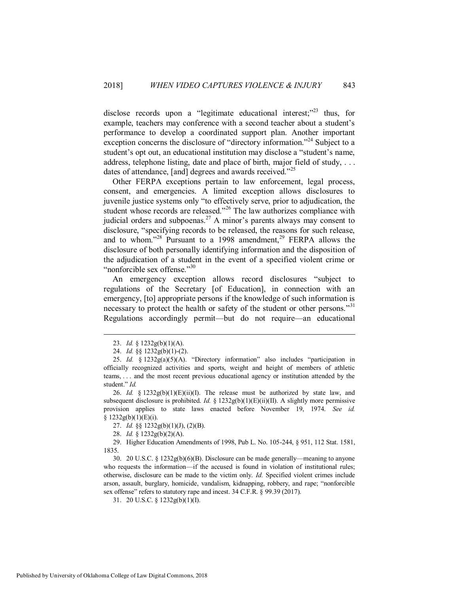disclose records upon a "legitimate educational interest; $^{223}$  thus, for example, teachers may conference with a second teacher about a student's performance to develop a coordinated support plan. Another important exception concerns the disclosure of "directory information."<sup>24</sup> Subject to a student's opt out, an educational institution may disclose a "student's name, address, telephone listing, date and place of birth, major field of study, ... dates of attendance, [and] degrees and awards received."<sup>25</sup>

Other FERPA exceptions pertain to law enforcement, legal process, consent, and emergencies. A limited exception allows disclosures to juvenile justice systems only "to effectively serve, prior to adjudication, the student whose records are released."<sup>26</sup> The law authorizes compliance with judicial orders and subpoenas.<sup>27</sup> A minor's parents always may consent to disclosure, "specifying records to be released, the reasons for such release, and to whom."<sup>28</sup> Pursuant to a 1998 amendment,<sup>29</sup> FERPA allows the disclosure of both personally identifying information and the disposition of the adjudication of a student in the event of a specified violent crime or "nonforcible sex offense."<sup>30</sup>

An emergency exception allows record disclosures "subject to regulations of the Secretary [of Education], in connection with an emergency, [to] appropriate persons if the knowledge of such information is necessary to protect the health or safety of the student or other persons."<sup>31</sup> Regulations accordingly permit—but do not require—an educational

 $\overline{a}$ 

 26. *Id.* § 1232g(b)(1)(E)(ii)(I). The release must be authorized by state law, and subsequent disclosure is prohibited. *Id.* § 1232g(b)(1)(E)(ii)(II). A slightly more permissive provision applies to state laws enacted before November 19, 1974. *See id.*  $§ 1232g(b)(1)(E)(i).$ 

27. *Id.* §§ 1232g(b)(1)(J), (2)(B).

28. *Id.* § 1232g(b)(2)(A).

 29. Higher Education Amendments of 1998, Pub L. No. 105-244, § 951, 112 Stat. 1581, 1835.

 30. 20 U.S.C. § 1232g(b)(6)(B). Disclosure can be made generally—meaning to anyone who requests the information—if the accused is found in violation of institutional rules; otherwise, disclosure can be made to the victim only. *Id.* Specified violent crimes include arson, assault, burglary, homicide, vandalism, kidnapping, robbery, and rape; "nonforcible sex offense" refers to statutory rape and incest. 34 C.F.R. § 99.39 (2017).

31. 20 U.S.C. § 1232g(b)(1)(I).

 <sup>23.</sup> *Id.* § 1232g(b)(1)(A).

 <sup>24.</sup> *Id.* §§ 1232g(b)(1)-(2).

 <sup>25.</sup> *Id.* § 1232g(a)(5)(A). "Directory information" also includes "participation in officially recognized activities and sports, weight and height of members of athletic teams, . . . and the most recent previous educational agency or institution attended by the student." *Id.*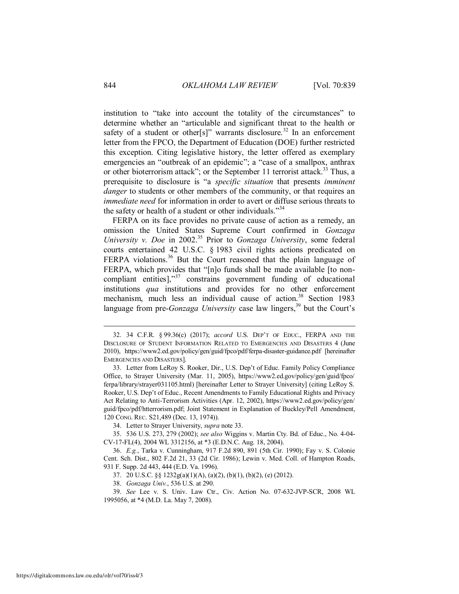<span id="page-6-1"></span>institution to "take into account the totality of the circumstances" to determine whether an "articulable and significant threat to the health or safety of a student or other[s]" warrants disclosure.<sup>32</sup> In an enforcement letter from the FPCO, the Department of Education (DOE) further restricted this exception. Citing legislative history, the letter offered as exemplary emergencies an "outbreak of an epidemic"; a "case of a smallpox, anthrax or other bioterrorism attack"; or the September 11 terrorist attack.<sup>33</sup> Thus, a prerequisite to disclosure is "a *specific situation* that presents *imminent danger* to students or other members of the community, or that requires an *immediate need* for information in order to avert or diffuse serious threats to the safety or health of a student or other individuals."<sup>34</sup>

<span id="page-6-0"></span>FERPA on its face provides no private cause of action as a remedy, an omission the United States Supreme Court confirmed in *Gonzaga University v. Doe* in 2002.<sup>35</sup> Prior to *Gonzaga University*, some federal courts entertained 42 U.S.C. § 1983 civil rights actions predicated on FERPA violations.<sup>36</sup> But the Court reasoned that the plain language of FERPA, which provides that "[n]o funds shall be made available [to noncompliant entities], $\frac{37}{7}$  constrains government funding of educational institutions *qua* institutions and provides for no other enforcement mechanism, much less an individual cause of action.<sup>38</sup> Section 1983 language from pre-*Gonzaga University* case law lingers,<sup>39</sup> but the Court's

34. Letter to Strayer University, *supra* not[e 33.](#page-6-0)

 35. 536 U.S. 273, 279 (2002); *see also* Wiggins v. Martin Cty. Bd. of Educ., No. 4-04- CV-17-FL(4), 2004 WL 3312156, at \*3 (E.D.N.C. Aug. 18, 2004).

37. 20 U.S.C. §§ 1232g(a)(1)(A), (a)(2), (b)(1), (b)(2), (e) (2012).

38. *Gonzaga Univ.*, 536 U.S. at 290.

 39. *See* Lee v. S. Univ. Law Ctr., Civ. Action No. 07-632-JVP-SCR, 2008 WL 1995056, at \*4 (M.D. La. May 7, 2008).

 <sup>32. 34</sup> C.F.R. § 99.36(c) (2017); *accord* U.S. DEP'T OF EDUC., FERPA AND THE DISCLOSURE OF STUDENT INFORMATION RELATED TO EMERGENCIES AND DISASTERS 4 (June 2010), https://www2.ed.gov/policy/gen/guid/fpco/pdf/ferpa-disaster-guidance.pdf [hereinafter EMERGENCIES AND DISASTERS].

 <sup>33.</sup> Letter from LeRoy S. Rooker, Dir., U.S. Dep't of Educ. Family Policy Compliance Office, to Strayer University (Mar. 11, 2005), https://www2.ed.gov/policy/gen/guid/fpco/ ferpa/library/strayer031105.html) [hereinafter Letter to Strayer University] (citing LeRoy S. Rooker, U.S. Dep't of Educ., Recent Amendments to Family Educational Rights and Privacy Act Relating to Anti-Terrorism Activities (Apr. 12, 2002), https://www2.ed.gov/policy/gen/ guid/fpco/pdf/htterrorism.pdf; Joint Statement in Explanation of Buckley/Pell Amendment, 120 CONG. REC. S21,489 (Dec. 13, 1974)).

 <sup>36.</sup> *E.g.*, [Tarka v. Cunningham, 917 F.2d 890, 891 \(5th Cir. 1990\);](https://a.next.westlaw.com/Link/Document/FullText?findType=Y&serNum=1990159839&pubNum=350&originatingDoc=Ibaa000b3565411d997e0acd5cbb90d3f&refType=RP&fi=co_pp_sp_350_891&originationContext=document&transitionType=DocumentItem&contextData=(sc.Keycite)#co_pp_sp_350_891) [Fay v. S. Colonie](https://a.next.westlaw.com/Link/Document/FullText?findType=Y&serNum=1986148134&pubNum=350&originatingDoc=Ibaa000b3565411d997e0acd5cbb90d3f&refType=RP&fi=co_pp_sp_350_33&originationContext=document&transitionType=DocumentItem&contextData=(sc.Keycite)#co_pp_sp_350_33)  [Cent. Sch. Dist., 802 F.2d 21, 33 \(2d Cir. 1986\);](https://a.next.westlaw.com/Link/Document/FullText?findType=Y&serNum=1986148134&pubNum=350&originatingDoc=Ibaa000b3565411d997e0acd5cbb90d3f&refType=RP&fi=co_pp_sp_350_33&originationContext=document&transitionType=DocumentItem&contextData=(sc.Keycite)#co_pp_sp_350_33) Lewin v. Med. Coll. of Hampton Roads, 931 F. Supp. 2d 443, 444 (E.D. Va. 1996).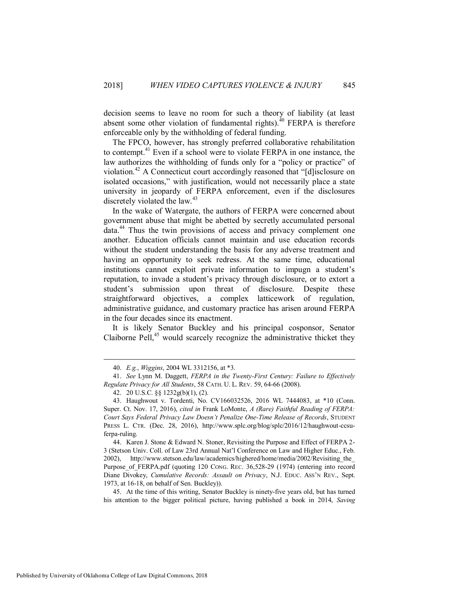decision seems to leave no room for such a theory of liability (at least absent some other violation of fundamental rights). $^{40}$  FERPA is therefore enforceable only by the withholding of federal funding.

<span id="page-7-0"></span>The FPCO, however, has strongly preferred collaborative rehabilitation to contempt.<sup>41</sup> Even if a school were to violate FERPA in one instance, the law authorizes the withholding of funds only for a "policy or practice" of violation.<sup>42</sup> A Connecticut court accordingly reasoned that "[d]isclosure on isolated occasions," with justification, would not necessarily place a state university in jeopardy of FERPA enforcement, even if the disclosures discretely violated the law. $43$ 

In the wake of Watergate, the authors of FERPA were concerned about government abuse that might be abetted by secretly accumulated personal data.<sup>44</sup> Thus the twin provisions of access and privacy complement one another. Education officials cannot maintain and use education records without the student understanding the basis for any adverse treatment and having an opportunity to seek redress. At the same time, educational institutions cannot exploit private information to impugn a student's reputation, to invade a student's privacy through disclosure, or to extort a student's submission upon threat of disclosure. Despite these straightforward objectives, a complex latticework of regulation, administrative guidance, and customary practice has arisen around FERPA in the four decades since its enactment.

It is likely Senator Buckley and his principal cosponsor, Senator Claiborne Pell, $45$  would scarcely recognize the administrative thicket they

 45. At the time of this writing, Senator Buckley is ninety-five years old, but has turned his attention to the bigger political picture, having published a book in 2014, *Saving* 

 <sup>40.</sup> *E.g.*, *Wiggins*, 2004 WL 3312156, at \*3.

 <sup>41.</sup> *See* Lynn M. Daggett, *FERPA in the Twenty-First Century: Failure to Effectively Regulate Privacy for All Students*, 58 CATH. U. L. REV. 59, 64-66 (2008).

 <sup>42. 20</sup> U.S.C. §§ 1232g(b)(1), (2).

 <sup>43.</sup> Haughwout v. Tordenti, No. CV166032526, 2016 WL 7444083, at \*10 (Conn. Super. Ct. Nov. 17, 2016), *cited in* Frank LoMonte, *A (Rare) Faithful Reading of FERPA: Court Says Federal Privacy Law Doesn't Penalize One-Time Release of Records*, STUDENT PRESS L. CTR. (Dec. 28, 2016), http://www.splc.org/blog/splc/2016/12/haughwout-ccsuferpa-ruling.

 <sup>44.</sup> Karen J. Stone & Edward N. Stoner, Revisiting the Purpose and Effect of FERPA 2- 3 (Stetson Univ. Coll. of Law 23rd Annual Nat'l Conference on Law and Higher Educ., Feb. 2002), http://www.stetson.edu/law/academics/highered/home/media/2002/Revisiting\_the\_ Purpose of FERPA.pdf (quoting 120 CONG. REC. 36,528-29 (1974) (entering into record Diane Divokey, *Cumulative Records: Assault on Privacy*, N.J. EDUC. ASS'N REV., Sept. 1973, at 16-18, on behalf of Sen. Buckley)).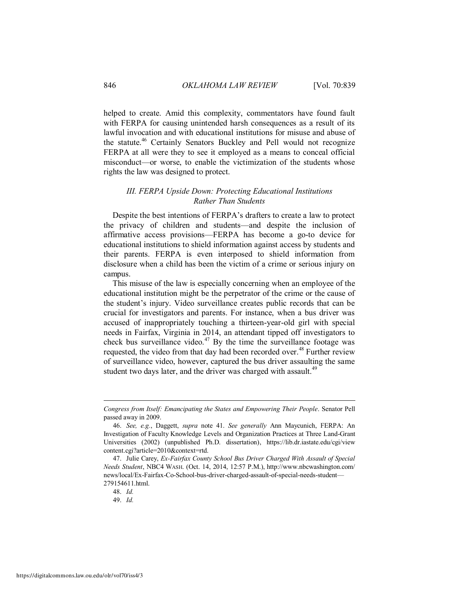helped to create. Amid this complexity, commentators have found fault with FERPA for causing unintended harsh consequences as a result of its lawful invocation and with educational institutions for misuse and abuse of the statute.<sup>46</sup> Certainly Senators Buckley and Pell would not recognize FERPA at all were they to see it employed as a means to conceal official misconduct—or worse, to enable the victimization of the students whose rights the law was designed to protect.

#### <span id="page-8-0"></span>*III. FERPA Upside Down: Protecting Educational Institutions Rather Than Students*

Despite the best intentions of FERPA's drafters to create a law to protect the privacy of children and students—and despite the inclusion of affirmative access provisions—FERPA has become a go-to device for educational institutions to shield information against access by students and their parents. FERPA is even interposed to shield information from disclosure when a child has been the victim of a crime or serious injury on campus.

This misuse of the law is especially concerning when an employee of the educational institution might be the perpetrator of the crime or the cause of the student's injury. Video surveillance creates public records that can be crucial for investigators and parents. For instance, when a bus driver was accused of inappropriately touching a thirteen-year-old girl with special needs in Fairfax, Virginia in 2014, an attendant tipped off investigators to check bus surveillance video.<sup>47</sup> By the time the surveillance footage was requested, the video from that day had been recorded over.<sup>48</sup> Further review of surveillance video, however, captured the bus driver assaulting the same student two days later, and the driver was charged with assault.<sup>49</sup>

*Congress from Itself: Emancipating the States and Empowering Their People*. Senator Pell passed away in 2009.

 <sup>46.</sup> *See, e.g.*, Daggett, *supra* note [41.](#page-7-0) *See generally* Ann Maycunich, FERPA: An Investigation of Faculty Knowledge Levels and Organization Practices at Three Land-Grant Universities (2002) (unpublished Ph.D. dissertation), https://lib.dr.iastate.edu/cgi/view content.cgi?article=2010&context=rtd.

 <sup>47.</sup> Julie Carey, *Ex-Fairfax County School Bus Driver Charged With Assault of Special Needs Student*, NBC4 WASH. (Oct. 14, 2014, 12:57 P.M.), http://www.nbcwashington.com/ news/local/Ex-Fairfax-Co-School-bus-driver-charged-assault-of-special-needs-student— 279154611.html.

 <sup>48.</sup> *Id.*

 <sup>49.</sup> *Id.*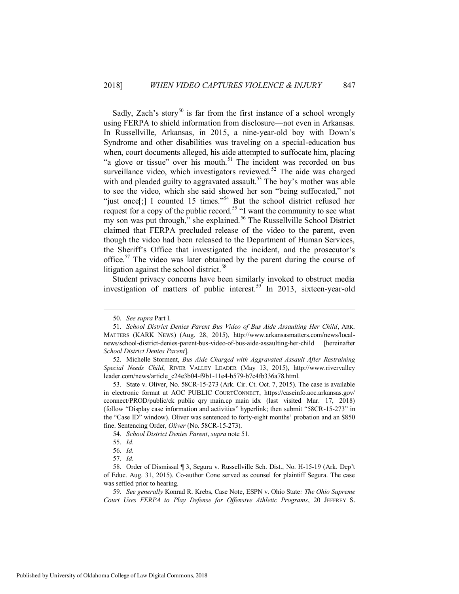<span id="page-9-0"></span>Sadly, Zach's story<sup>50</sup> is far from the first instance of a school wrongly using FERPA to shield information from disclosure—not even in Arkansas. In Russellville, Arkansas, in 2015, a nine-year-old boy with Down's Syndrome and other disabilities was traveling on a special-education bus when, court documents alleged, his aide attempted to suffocate him, placing "a glove or tissue" over his mouth.<sup>51</sup> The incident was recorded on bus surveillance video, which investigators reviewed.<sup>52</sup> The aide was charged with and pleaded guilty to aggravated assault.<sup>53</sup> The boy's mother was able to see the video, which she said showed her son "being suffocated," not "just once[;] I counted 15 times."<sup>54</sup> But the school district refused her request for a copy of the public record.<sup>55</sup> "I want the community to see what my son was put through," she explained.<sup>56</sup> The Russellville School District claimed that FERPA precluded release of the video to the parent, even though the video had been released to the Department of Human Services, the Sheriff's Office that investigated the incident, and the prosecutor's office.<sup>57</sup> The video was later obtained by the parent during the course of litigation against the school district. $58$ 

<span id="page-9-1"></span>Student privacy concerns have been similarly invoked to obstruct media investigation of matters of public interest.<sup>59</sup> In 2013, sixteen-year-old

 <sup>50.</sup> *See supra* Part I.

 <sup>51.</sup> *School District Denies Parent Bus Video of Bus Aide Assaulting Her Child*, ARK. MATTERS (KARK NEWS) (Aug. 28, 2015), [http://www.arkansasmatters.com/news/local](http://www.arkansasmatters.com/news/local-news/school-district-denies-parent-bus-video-of-bus-aide-assaulting-her-child)[news/school-district-denies-parent-bus-video-of-bus-aide-assaulting-her-child](http://www.arkansasmatters.com/news/local-news/school-district-denies-parent-bus-video-of-bus-aide-assaulting-her-child) [hereinafter *School District Denies Parent*].

 <sup>52.</sup> Michelle Storment, *Bus Aide Charged with Aggravated Assault After Restraining Special Needs Child*, RIVER VALLEY LEADER (May 13, 2015), http://www.rivervalley leader.com/news/article\_c24e3b04-f9b1-11e4-b579-b7c4fb336a78.html.

 <sup>53.</sup> State v. Oliver, No. 58CR-15-273 (Ark. Cir. Ct. Oct. 7, 2015). The case is available in electronic format at AOC PUBLIC COURTCONNECT, https://caseinfo.aoc.arkansas.gov/ cconnect/PROD/public/ck\_public\_qry\_main.cp\_main\_idx (last visited Mar. 17, 2018) (follow "Display case information and activities" hyperlink; then submit "58CR-15-273" in the "Case ID" window). Oliver was sentenced to forty-eight months' probation and an \$850 fine. Sentencing Order, *Oliver* (No. 58CR-15-273).

 <sup>54.</sup> *School District Denies Parent*, *supra* not[e 51.](#page-9-0)

 <sup>55.</sup> *Id.*

 <sup>56.</sup> *Id.*

 <sup>57.</sup> *Id.*

 <sup>58.</sup> Order of Dismissal ¶ 3, Segura v. Russellville Sch. Dist., No. H-15-19 (Ark. Dep't of Educ. Aug. 31, 2015). Co-author Cone served as counsel for plaintiff Segura. The case was settled prior to hearing.

 <sup>59.</sup> *See generally* Konrad R. Krebs, Case Note, ESPN v. Ohio State*: The Ohio Supreme Court Uses FERPA to Play Defense for Offensive Athletic Programs*, 20 JEFFREY S.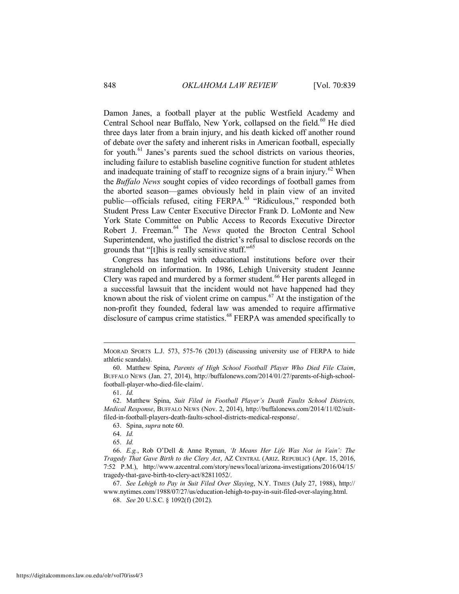<span id="page-10-0"></span>Damon Janes, a football player at the public Westfield Academy and Central School near Buffalo, New York, collapsed on the field.<sup>60</sup> He died three days later from a brain injury, and his death kicked off another round of debate over the safety and inherent risks in American football, especially for youth.<sup>61</sup> Janes's parents sued the school districts on various theories, including failure to establish baseline cognitive function for student athletes and inadequate training of staff to recognize signs of a brain injury.<sup>62</sup> When the *Buffalo News* sought copies of video recordings of football games from the aborted season—games obviously held in plain view of an invited public—officials refused, citing FERPA.<sup>63</sup> "Ridiculous," responded both Student Press Law Center Executive Director Frank D. LoMonte and New York State Committee on Public Access to Records Executive Director Robert J. Freeman.<sup>64</sup> The *News* quoted the Brocton Central School Superintendent, who justified the district's refusal to disclose records on the grounds that "[t]his is really sensitive stuff."<sup>65</sup>

Congress has tangled with educational institutions before over their stranglehold on information. In 1986, Lehigh University student Jeanne Clery was raped and murdered by a former student.<sup>66</sup> Her parents alleged in a successful lawsuit that the incident would not have happened had they known about the risk of violent crime on campus.<sup>67</sup> At the instigation of the non-profit they founded, federal law was amended to require affirmative disclosure of campus crime statistics.<sup>68</sup> FERPA was amended specifically to

MOORAD SPORTS L.J. 573, 575-76 (2013) (discussing university use of FERPA to hide athletic scandals).

 <sup>60.</sup> Matthew Spina, *Parents of High School Football Player Who Died File Claim*, BUFFALO NEWS (Jan. 27, 2014), http://buffalonews.com/2014/01/27/parents-of-high-schoolfootball-player-who-died-file-claim/.

 <sup>61.</sup> *Id.*

 <sup>62.</sup> Matthew Spina, *Suit Filed in Football Player's Death Faults School Districts, Medical Response*, BUFFALO NEWS (Nov. 2, 2014), http://buffalonews.com/2014/11/02/suitfiled-in-football-players-death-faults-school-districts-medical-response/.

 <sup>63.</sup> Spina, *supra* not[e 60.](#page-10-0)

 <sup>64.</sup> *Id.*

 <sup>65.</sup> *Id.*

 <sup>66.</sup> *E.g.*, Rob O'Dell & Anne Ryman, *'It Means Her Life Was Not in Vain': The Tragedy That Gave Birth to the Clery Act*, AZ CENTRAL (ARIZ. REPUBLIC) (Apr. 15, 2016, 7:52 P.M.), http://www.azcentral.com/story/news/local/arizona-investigations/2016/04/15/ tragedy-that-gave-birth-to-clery-act/82811052/.

 <sup>67.</sup> *See Lehigh to Pay in Suit Filed Over Slaying*, N.Y. TIMES (July 27, 1988), http:// www.nytimes.com/1988/07/27/us/education-lehigh-to-pay-in-suit-filed-over-slaying.html.

 <sup>68.</sup> *See* 20 U.S.C. § 1092(f) (2012).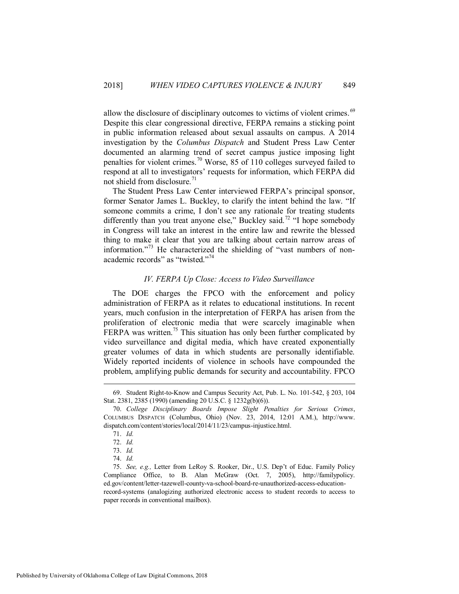allow the disclosure of disciplinary outcomes to victims of violent crimes.<sup>69</sup> Despite this clear congressional directive, FERPA remains a sticking point in public information released about sexual assaults on campus. A 2014 investigation by the *Columbus Dispatch* and Student Press Law Center documented an alarming trend of secret campus justice imposing light penalties for violent crimes.<sup>70</sup> Worse, 85 of 110 colleges surveyed failed to respond at all to investigators' requests for information, which FERPA did not shield from disclosure. $^{71}$ 

The Student Press Law Center interviewed FERPA's principal sponsor, former Senator James L. Buckley, to clarify the intent behind the law. "If someone commits a crime, I don't see any rationale for treating students differently than you treat anyone else," Buckley said.<sup>72</sup> "I hope somebody in Congress will take an interest in the entire law and rewrite the blessed thing to make it clear that you are talking about certain narrow areas of information."<sup>73</sup> He characterized the shielding of "vast numbers of nonacademic records" as "twisted."<sup>74</sup>

#### *IV. FERPA Up Close: Access to Video Surveillance*

<span id="page-11-0"></span>The DOE charges the FPCO with the enforcement and policy administration of FERPA as it relates to educational institutions. In recent years, much confusion in the interpretation of FERPA has arisen from the proliferation of electronic media that were scarcely imaginable when FERPA was written.<sup>75</sup> This situation has only been further complicated by video surveillance and digital media, which have created exponentially greater volumes of data in which students are personally identifiable. Widely reported incidents of violence in schools have compounded the problem, amplifying public demands for security and accountability. FPCO

 <sup>69.</sup> Student Right-to-Know and Campus Security Act, Pub. L. No. 101-542, § 203, 104 Stat. 2381, 2385 (1990) (amending 20 U.S.C. § 1232g(b)(6)).

 <sup>70.</sup> *College Disciplinary Boards Impose Slight Penalties for Serious Crimes*, COLUMBUS DISPATCH (Columbus, Ohio) (Nov. 23, 2014, 12:01 A.M.), http://www. dispatch.com/content/stories/local/2014/11/23/campus-injustice.html.

 <sup>71.</sup> *Id.*

 <sup>72.</sup> *Id.* 

 <sup>73.</sup> *Id.*

 <sup>74.</sup> *Id.*

 <sup>75.</sup> *See, e.g.,* Letter from LeRoy S. Rooker, Dir., U.S. Dep't of Educ. Family Policy Compliance Office, to B. Alan McGraw (Oct. 7, 2005), http://familypolicy. ed.gov/content/letter-tazewell-county-va-school-board-re-unauthorized-access-educationrecord-systems (analogizing authorized electronic access to student records to access to paper records in conventional mailbox).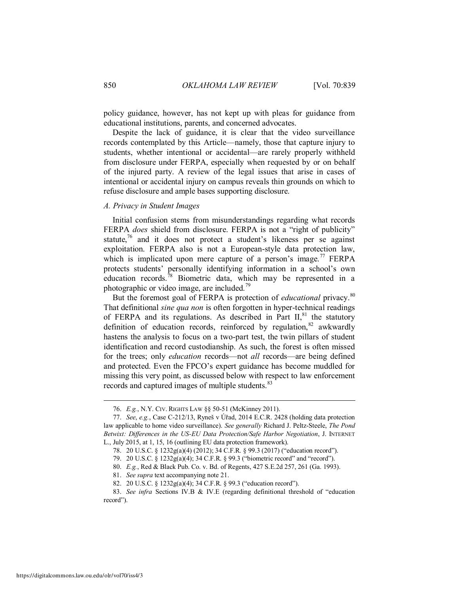policy guidance, however, has not kept up with pleas for guidance from educational institutions, parents, and concerned advocates.

Despite the lack of guidance, it is clear that the video surveillance records contemplated by this Article—namely, those that capture injury to students, whether intentional or accidental—are rarely properly withheld from disclosure under FERPA, especially when requested by or on behalf of the injured party. A review of the legal issues that arise in cases of intentional or accidental injury on campus reveals thin grounds on which to refuse disclosure and ample bases supporting disclosure.

#### <span id="page-12-0"></span>*A. Privacy in Student Images*

Initial confusion stems from misunderstandings regarding what records FERPA *does* shield from disclosure. FERPA is not a "right of publicity" statute, $76$  and it does not protect a student's likeness per se against exploitation. FERPA also is not a European-style data protection law, which is implicated upon mere capture of a person's image.<sup>77</sup> FERPA protects students' personally identifying information in a school's own education records.<sup>78</sup> Biometric data, which may be represented in a photographic or video image, are included.<sup>79</sup>

But the foremost goal of FERPA is protection of *educational* privacy.<sup>80</sup> That definitional *sine qua non* is often forgotten in hyper-technical readings of FERPA and its regulations. As described in Part  $II$ ,  $81$  the statutory definition of education records, reinforced by regulation,  $82$  awkwardly hastens the analysis to focus on a two-part test, the twin pillars of student identification and record custodianship. As such, the forest is often missed for the trees; only *education* records—not *all* records—are being defined and protected. Even the FPCO's expert guidance has become muddled for missing this very point, as discussed below with respect to law enforcement records and captured images of multiple students.<sup>83</sup>

 <sup>76.</sup> *E.g.*, N.Y. CIV. RIGHTS LAW §§ 50-51 (McKinney 2011).

 <sup>77.</sup> *See*, *e.g.*, Case C-212/13, Ryneš v Úřad, 2014 E.C.R. 2428 (holding data protection law applicable to home video surveillance). *See generally* Richard J. Peltz-Steele, *The Pond Betwixt: Differences in the US-EU Data Protection/Safe Harbor Negotiation*, J. INTERNET L., July 2015, at 1, 15, 16 (outlining EU data protection framework).

 <sup>78. 20</sup> U.S.C. § 1232g(a)(4) (2012); 34 C.F.R. § 99.3 (2017) ("education record").

 <sup>79. 20</sup> U.S.C. § 1232g(a)(4); 34 C.F.R. § 99.3 ("biometric record" and "record").

 <sup>80.</sup> *E.g.*, Red & Black Pub. Co. v. Bd. of Regents, 427 S.E.2d 257, 261 (Ga. 1993).

 <sup>81.</sup> *See supra* text accompanying not[e 21.](#page-4-1)

 <sup>82. 20</sup> U.S.C. § 1232g(a)(4); 34 C.F.R. § 99.3 ("education record").

 <sup>83.</sup> *See infra* Sections IV.B & IV.E (regarding definitional threshold of "education record").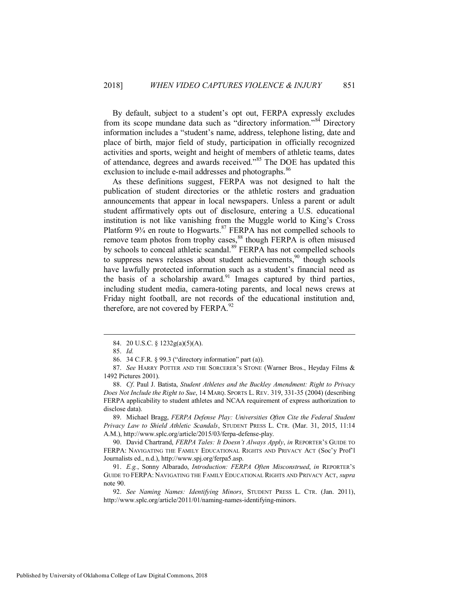By default, subject to a student's opt out, FERPA expressly excludes from its scope mundane data such as "directory information."<sup>84</sup> Directory information includes a "student's name, address, telephone listing, date and place of birth, major field of study, participation in officially recognized activities and sports, weight and height of members of athletic teams, dates of attendance, degrees and awards received."<sup>85</sup> The DOE has updated this exclusion to include e-mail addresses and photographs.<sup>86</sup>

As these definitions suggest, FERPA was not designed to halt the publication of student directories or the athletic rosters and graduation announcements that appear in local newspapers. Unless a parent or adult student affirmatively opts out of disclosure, entering a U.S. educational institution is not like vanishing from the Muggle world to King's Cross Platform 9<sup>3</sup>/<sub>4</sub> en route to Hogwarts.<sup>87</sup> FERPA has not compelled schools to remove team photos from trophy cases, $88$  though FERPA is often misused by schools to conceal athletic scandal.<sup>89</sup> FERPA has not compelled schools to suppress news releases about student achievements,<sup>90</sup> though schools have lawfully protected information such as a student's financial need as the basis of a scholarship award.<sup>91</sup> Images captured by third parties, including student media, camera-toting parents, and local news crews at Friday night football, are not records of the educational institution and, therefore, are not covered by FERPA. $^{92}$ 

 $\overline{a}$ 

 89. Michael Bragg, *FERPA Defense Play: Universities Often Cite the Federal Student Privacy Law to Shield Athletic Scandals*, STUDENT PRESS L. CTR. (Mar. 31, 2015, 11:14 A.M.), http://www.splc.org/article/2015/03/ferpa-defense-play.

 90. David Chartrand, *FERPA Tales: It Doesn't Always Apply*, *in* REPORTER'S GUIDE TO FERPA: NAVIGATING THE FAMILY EDUCATIONAL RIGHTS AND PRIVACY ACT (Soc'y Prof'l Journalists ed., n.d.), http://www.spj.org/ferpa5.asp.

 91. *E.g.*, Sonny Albarado, *Introduction: FERPA Often Misconstrued*, *in* REPORTER'S GUIDE TO FERPA: NAVIGATING THE FAMILY EDUCATIONAL RIGHTS AND PRIVACY ACT, *supra* note [90.](#page-13-0)

 92. *See Naming Names: Identifying Minors*, STUDENT PRESS L. CTR. (Jan. 2011), http://www.splc.org/article/2011/01/naming-names-identifying-minors.

<span id="page-13-0"></span> <sup>84. 20</sup> U.S.C. § 1232g(a)(5)(A).

 <sup>85.</sup> *Id.*

 <sup>86. 34</sup> C.F.R. § 99.3 ("directory information" part (a)).

 <sup>87.</sup> *See* HARRY POTTER AND THE SORCERER'S STONE (Warner Bros., Heyday Films & 1492 Pictures 2001).

 <sup>88.</sup> *Cf*. Paul J. Batista, *Student Athletes and the Buckley Amendment: Right to Privacy Does Not Include the Right to Sue*, 14 MARQ. SPORTS L. REV. 319, 331-35 (2004) (describing FERPA applicability to student athletes and NCAA requirement of express authorization to disclose data).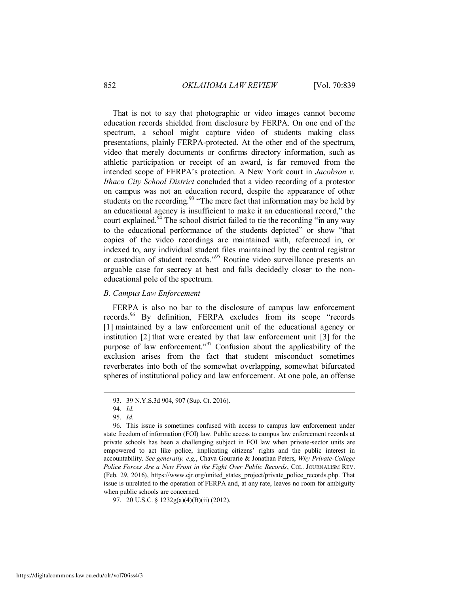That is not to say that photographic or video images cannot become education records shielded from disclosure by FERPA. On one end of the spectrum, a school might capture video of students making class presentations, plainly FERPA-protected. At the other end of the spectrum, video that merely documents or confirms directory information, such as athletic participation or receipt of an award, is far removed from the intended scope of FERPA's protection. A New York court in *Jacobson v. Ithaca City School District* concluded that a video recording of a protestor on campus was not an education record, despite the appearance of other students on the recording.<sup>93</sup> "The mere fact that information may be held by an educational agency is insufficient to make it an educational record," the court explained.<sup>94</sup> The school district failed to tie the recording "in any way" to the educational performance of the students depicted" or show "that copies of the video recordings are maintained with, referenced in, or indexed to, any individual student files maintained by the central registrar or custodian of student records."<sup>95</sup> Routine video surveillance presents an arguable case for secrecy at best and falls decidedly closer to the noneducational pole of the spectrum.

#### <span id="page-14-0"></span>*B. Campus Law Enforcement*

FERPA is also no bar to the disclosure of campus law enforcement records.<sup>96</sup> By definition, FERPA excludes from its scope "records" [1] maintained by a law enforcement unit of the educational agency or institution [2] that were created by that law enforcement unit [3] for the purpose of law enforcement."<sup>97</sup> Confusion about the applicability of the exclusion arises from the fact that student misconduct sometimes reverberates into both of the somewhat overlapping, somewhat bifurcated spheres of institutional policy and law enforcement. At one pole, an offense

 <sup>93. 39</sup> N.Y.S.3d 904, 907 (Sup. Ct. 2016).

 <sup>94.</sup> *Id.*

 <sup>95.</sup> *Id.*

 <sup>96.</sup> This issue is sometimes confused with access to campus law enforcement under state freedom of information (FOI) law. Public access to campus law enforcement records at private schools has been a challenging subject in FOI law when private-sector units are empowered to act like police, implicating citizens' rights and the public interest in accountability. *See generally, e.g.*, Chava Gourarie & Jonathan Peters, *Why Private-College Police Forces Are a New Front in the Fight Over Public Records*, COL. JOURNALISM REV. (Feb. 29, 2016), https://www.cjr.org/united\_states\_project/private\_police\_records.php. That issue is unrelated to the operation of FERPA and, at any rate, leaves no room for ambiguity when public schools are concerned.

 <sup>97. 20</sup> U.S.C. § 1232g(a)(4)(B)(ii) (2012).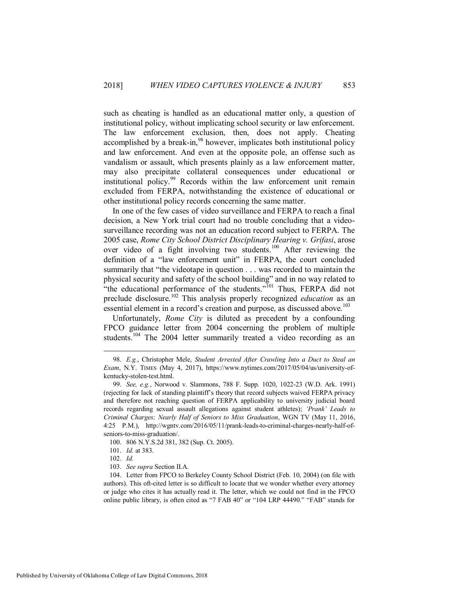such as cheating is handled as an educational matter only, a question of institutional policy, without implicating school security or law enforcement. The law enforcement exclusion, then, does not apply. Cheating accomplished by a break-in, $98$  however, implicates both institutional policy and law enforcement. And even at the opposite pole, an offense such as vandalism or assault, which presents plainly as a law enforcement matter, may also precipitate collateral consequences under educational or institutional policy.<sup>99</sup> Records within the law enforcement unit remain excluded from FERPA, notwithstanding the existence of educational or other institutional policy records concerning the same matter.

In one of the few cases of video surveillance and FERPA to reach a final decision, a New York trial court had no trouble concluding that a videosurveillance recording was not an education record subject to FERPA. The 2005 case, *Rome City School District Disciplinary Hearing v. Grifasi*, arose over video of a fight involving two students.<sup>100</sup> After reviewing the definition of a "law enforcement unit" in FERPA, the court concluded summarily that "the videotape in question . . . was recorded to maintain the physical security and safety of the school building" and in no way related to "the educational performance of the students."<sup>101</sup> Thus, FERPA did not preclude disclosure.<sup>102</sup> This analysis properly recognized *education* as an essential element in a record's creation and purpose, as discussed above.<sup>103</sup>

<span id="page-15-0"></span>Unfortunately, *Rome City* is diluted as precedent by a confounding FPCO guidance letter from 2004 concerning the problem of multiple students.<sup>104</sup> The 2004 letter summarily treated a video recording as an

 <sup>98.</sup> *E.g.*, Christopher Mele, *Student Arrested After Crawling Into a Duct to Steal an Exam*, N.Y. TIMES (May 4, 2017), https://www.nytimes.com/2017/05/04/us/university-ofkentucky-stolen-test.html.

 <sup>99.</sup> *See, e.g.*, Norwood v. Slammons, 788 F. Supp. 1020, 1022-23 (W.D. Ark. 1991) (rejecting for lack of standing plaintiff's theory that record subjects waived FERPA privacy and therefore not reaching question of FERPA applicability to university judicial board records regarding sexual assault allegations against student athletes); *'Prank' Leads to Criminal Charges; Nearly Half of Seniors to Miss Graduation*, WGN TV (May 11, 2016, 4:25 P.M.), http://wgntv.com/2016/05/11/prank-leads-to-criminal-charges-nearly-half-ofseniors-to-miss-graduation/.

 <sup>100. 806</sup> N.Y.S.2d 381, 382 (Sup. Ct. 2005).

 <sup>101.</sup> *Id.* at 383.

 <sup>102.</sup> *Id.*

 <sup>103.</sup> *See supra* Section II.A.

 <sup>104.</sup> Letter from FPCO to Berkeley County School District (Feb. 10, 2004) (on file with authors). This oft-cited letter is so difficult to locate that we wonder whether every attorney or judge who cites it has actually read it. The letter, which we could not find in the FPCO online public library, is often cited as "7 FAB 40" or "104 LRP 44490." "FAB" stands for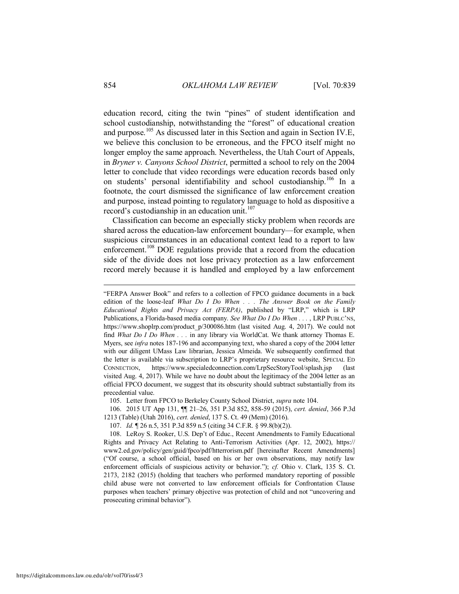<span id="page-16-2"></span>education record, citing the twin "pines" of student identification and school custodianship, notwithstanding the "forest" of educational creation and purpose.<sup>105</sup> As discussed later in this Section and again in Section IV.E, we believe this conclusion to be erroneous, and the FPCO itself might no longer employ the same approach. Nevertheless, the Utah Court of Appeals, in *Bryner v. Canyons School District*, permitted a school to rely on the 2004 letter to conclude that video recordings were education records based only on students' personal identifiability and school custodianship.<sup>106</sup> In a footnote, the court dismissed the significance of law enforcement creation and purpose, instead pointing to regulatory language to hold as dispositive a record's custodianship in an education unit.<sup>107</sup>

<span id="page-16-3"></span><span id="page-16-1"></span><span id="page-16-0"></span>Classification can become an especially sticky problem when records are shared across the education-law enforcement boundary—for example, when suspicious circumstances in an educational context lead to a report to law enforcement.<sup>108</sup> DOE regulations provide that a record from the education side of the divide does not lose privacy protection as a law enforcement record merely because it is handled and employed by a law enforcement

105. Letter from FPCO to Berkeley County School District, *supra* not[e 104.](#page-15-0)

 106. 2015 UT App 131, ¶¶ 21–26, 351 P.3d 852, 858-59 (2015), *cert. denied*, 366 P.3d 1213 (Table) (Utah 2016), *cert. denied*, 137 S. Ct. 49 (Mem) (2016).

107. *Id.* ¶ 26 n.5, 351 P.3d 859 n.5 (citing 34 C.F.R. § 99.8(b)(2)).

<sup>&</sup>quot;FERPA Answer Book" and refers to a collection of FPCO guidance documents in a back edition of the loose-leaf *What Do I Do When . . . The Answer Book on the Family Educational Rights and Privacy Act (FERPA)*, published by "LRP," which is LRP Publications, a Florida-based media company. *See What Do I Do When . . .* , LRP PUBLC'NS, https://www.shoplrp.com/product p/300086.htm (last visited Aug. 4, 2017). We could not find *What Do I Do When . . .* in any library via WorldCat. We thank attorney Thomas E. Myers, see *infra* notes [187](#page-28-0)[-196](#page-29-0) and accompanying text, who shared a copy of the 2004 letter with our diligent UMass Law librarian, Jessica Almeida. We subsequently confirmed that the letter is available via subscription to LRP's proprietary resource website, SPECIAL ED CONNECTION, https://www.specialedconnection.com/LrpSecStoryTool/splash.jsp (last visited Aug. 4, 2017). While we have no doubt about the legitimacy of the 2004 letter as an official FPCO document, we suggest that its obscurity should subtract substantially from its precedential value.

 <sup>108.</sup> LeRoy S. Rooker, U.S. Dep't of Educ., Recent Amendments to Family Educational Rights and Privacy Act Relating to Anti-Terrorism Activities (Apr. 12, 2002), https:// www2.ed.gov/policy/gen/guid/fpco/pdf/htterrorism.pdf [hereinafter Recent Amendments] ("Of course, a school official, based on his or her own observations, may notify law enforcement officials of suspicious activity or behavior."); *cf.* Ohio v. Clark, 135 S. Ct. 2173, 2182 (2015) (holding that teachers who performed mandatory reporting of possible child abuse were not converted to law enforcement officials for Confrontation Clause purposes when teachers' primary objective was protection of child and not "uncovering and prosecuting criminal behavior").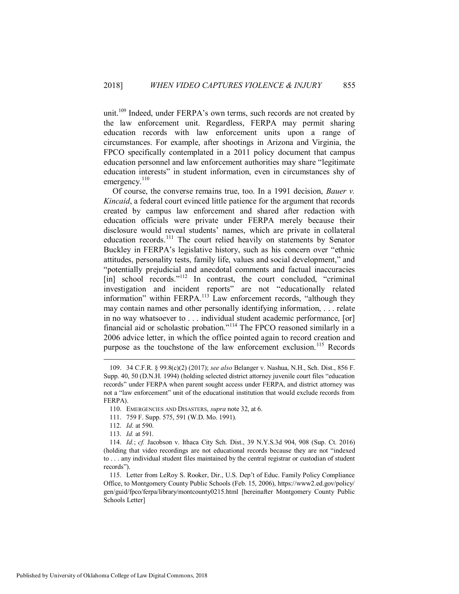unit.<sup>109</sup> Indeed, under FERPA's own terms, such records are not created by the law enforcement unit. Regardless, FERPA may permit sharing education records with law enforcement units upon a range of circumstances. For example, after shootings in Arizona and Virginia, the FPCO specifically contemplated in a 2011 policy document that campus education personnel and law enforcement authorities may share "legitimate education interests" in student information, even in circumstances shy of emergency. $110$ 

Of course, the converse remains true, too. In a 1991 decision, *Bauer v. Kincaid*, a federal court evinced little patience for the argument that records created by campus law enforcement and shared after redaction with education officials were private under FERPA merely because their disclosure would reveal students' names, which are private in collateral education records.<sup>111</sup> The court relied heavily on statements by Senator Buckley in FERPA's legislative history, such as his concern over "ethnic attitudes, personality tests, family life, values and social development," and "potentially prejudicial and anecdotal comments and factual inaccuracies [in] school records."<sup>112</sup> In contrast, the court concluded, "criminal investigation and incident reports" are not "educationally related information" within FERPA.<sup>113</sup> Law enforcement records, "although they may contain names and other personally identifying information, . . . relate in no way whatsoever to . . . individual student academic performance, [or] financial aid or scholastic probation."<sup>114</sup> The FPCO reasoned similarly in a 2006 advice letter, in which the office pointed again to record creation and purpose as the touchstone of the law enforcement exclusion.<sup>115</sup> Records

<span id="page-17-0"></span> <sup>109. 34</sup> C.F.R. § 99.8(c)(2) (2017); *see also* Belanger v. Nashua, N.H., Sch. Dist., 856 F. Supp. 40, 50 (D.N.H. 1994) (holding selected district attorney juvenile court files "education records" under FERPA when parent sought access under FERPA, and district attorney was not a "law enforcement" unit of the educational institution that would exclude records from FERPA).

 <sup>110.</sup> EMERGENCIES AND DISASTERS, *supra* not[e 32,](#page-6-1) at 6.

 <sup>111. 759</sup> F. Supp. 575, 591 (W.D. Mo. 1991).

 <sup>112.</sup> *Id.* at 590.

 <sup>113.</sup> *Id.* at 591.

 <sup>114.</sup> *Id.*; *cf.* Jacobson v. Ithaca City Sch. Dist., 39 N.Y.S.3d 904, 908 (Sup. Ct. 2016) (holding that video recordings are not educational records because they are not "indexed to . . . any individual student files maintained by the central registrar or custodian of student records").

 <sup>115.</sup> Letter from LeRoy S. Rooker, Dir., U.S. Dep't of Educ. Family Policy Compliance Office, to Montgomery County Public Schools (Feb. 15, 2006), https://www2.ed.gov/policy/ gen/guid/fpco/ferpa/library/montcounty0215.html [hereinafter Montgomery County Public Schools Letter]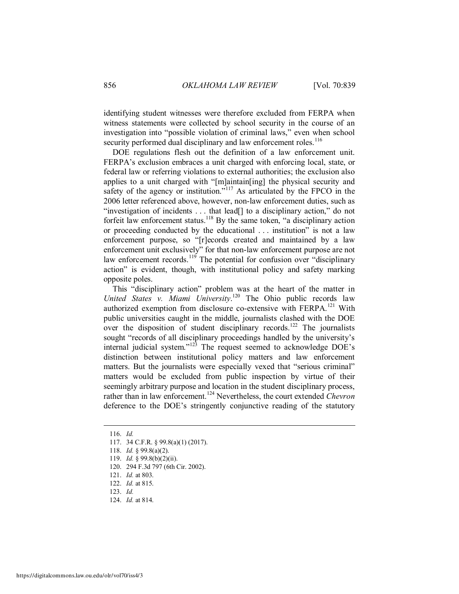identifying student witnesses were therefore excluded from FERPA when witness statements were collected by school security in the course of an investigation into "possible violation of criminal laws," even when school security performed dual disciplinary and law enforcement roles.<sup>116</sup>

DOE regulations flesh out the definition of a law enforcement unit. FERPA's exclusion embraces a unit charged with enforcing local, state, or federal law or referring violations to external authorities; the exclusion also applies to a unit charged with "[m]aintain[ing] the physical security and safety of the agency or institution."<sup>117</sup> As articulated by the FPCO in the 2006 letter referenced above, however, non-law enforcement duties, such as "investigation of incidents . . . that lead[] to a disciplinary action," do not forfeit law enforcement status.<sup>118</sup> By the same token, "a disciplinary action or proceeding conducted by the educational . . . institution" is not a law enforcement purpose, so "[r]ecords created and maintained by a law enforcement unit exclusively" for that non-law enforcement purpose are not law enforcement records.<sup>119</sup> The potential for confusion over "disciplinary" action" is evident, though, with institutional policy and safety marking opposite poles.

This "disciplinary action" problem was at the heart of the matter in *United States v. Miami University*. <sup>120</sup> The Ohio public records law authorized exemption from disclosure co-extensive with FERPA.<sup>121</sup> With public universities caught in the middle, journalists clashed with the DOE over the disposition of student disciplinary records.<sup>122</sup> The journalists sought "records of all disciplinary proceedings handled by the university's internal judicial system." $123$  The request seemed to acknowledge DOE's distinction between institutional policy matters and law enforcement matters. But the journalists were especially vexed that "serious criminal" matters would be excluded from public inspection by virtue of their seemingly arbitrary purpose and location in the student disciplinary process, rather than in law enforcement.<sup>124</sup> Nevertheless, the court extended *Chevron* deference to the DOE's stringently conjunctive reading of the statutory

 <sup>116.</sup> *Id.*

 <sup>117. 34</sup> C.F.R. § 99.8(a)(1) (2017).

 <sup>118.</sup> *Id.* § 99.8(a)(2).

 <sup>119.</sup> *Id.* § 99.8(b)(2)(ii).

 <sup>120. 294</sup> F.3d 797 (6th Cir. 2002).

 <sup>121.</sup> *Id.* at 803.

 <sup>122.</sup> *Id.* at 815.

 <sup>123.</sup> *Id.*

 <sup>124.</sup> *Id.* at 814.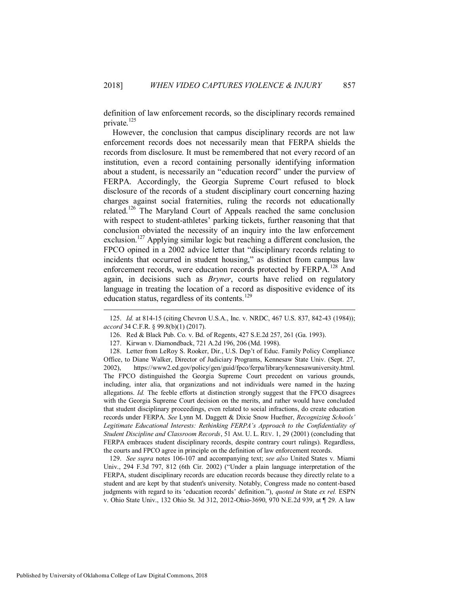definition of law enforcement records, so the disciplinary records remained private.<sup>125</sup>

However, the conclusion that campus disciplinary records are not law enforcement records does not necessarily mean that FERPA shields the records from disclosure. It must be remembered that not every record of an institution, even a record containing personally identifying information about a student, is necessarily an "education record" under the purview of FERPA. Accordingly, the Georgia Supreme Court refused to block disclosure of the records of a student disciplinary court concerning hazing charges against social fraternities, ruling the records not educationally related.<sup>126</sup> The Maryland Court of Appeals reached the same conclusion with respect to student-athletes' parking tickets, further reasoning that that conclusion obviated the necessity of an inquiry into the law enforcement exclusion.<sup>127</sup> Applying similar logic but reaching a different conclusion, the FPCO opined in a 2002 advice letter that "disciplinary records relating to incidents that occurred in student housing," as distinct from campus law enforcement records, were education records protected by FERPA.<sup>128</sup> And again, in decisions such as *Bryner*, courts have relied on regulatory language in treating the location of a record as dispositive evidence of its education status, regardless of its contents.<sup>129</sup>

 129. *See supra* notes [106](#page-16-0)[-107](#page-16-1) and accompanying text; *see also* United States v. Miami Univ., 294 F.3d 797, 812 (6th Cir. 2002) ("Under a plain language interpretation of the FERPA, student disciplinary records are education records because they directly relate to a student and are kept by that student's university. Notably, Congress made no content-based judgments with regard to its 'education records' definition."), *quoted in* State *ex rel.* ESPN v. Ohio State Univ., 132 Ohio St. 3d 312, 2012-Ohio-3690, 970 N.E.2d 939, at ¶ 29. A law

 <sup>125.</sup> *Id.* at 814-15 (citing Chevron U.S.A., Inc. v. NRDC, 467 U.S. 837, 842-43 (1984)); *accord* 34 C.F.R. § 99.8(b)(1) (2017).

 <sup>126.</sup> Red & Black Pub. Co. v. Bd. of Regents, 427 S.E.2d 257, 261 (Ga. 1993).

 <sup>127.</sup> Kirwan v. Diamondback, 721 A.2d 196, 206 (Md. 1998).

 <sup>128.</sup> Letter from LeRoy S. Rooker, Dir., U.S. Dep't of Educ. Family Policy Compliance Office, to Diane Walker, Director of Judiciary Programs, Kennesaw State Univ. (Sept. 27, 2002), https://www2.ed.gov/policy/gen/guid/fpco/ferpa/library/kennesawuniversity.html. The FPCO distinguished the Georgia Supreme Court precedent on various grounds, including, inter alia, that organizations and not individuals were named in the hazing allegations. *Id.* The feeble efforts at distinction strongly suggest that the FPCO disagrees with the Georgia Supreme Court decision on the merits, and rather would have concluded that student disciplinary proceedings, even related to social infractions, do create education records under FERPA. *See* Lynn M. Daggett & Dixie Snow Huefner, *Recognizing Schools'*  Legitimate Educational Interests: Rethinking FERPA's Approach to the Confidentiality of *Student Discipline and Classroom Records*, 51 AM. U. L. REV. 1, 29 (2001) (concluding that FERPA embraces student disciplinary records, despite contrary court rulings). Regardless, the courts and FPCO agree in principle on the definition of law enforcement records.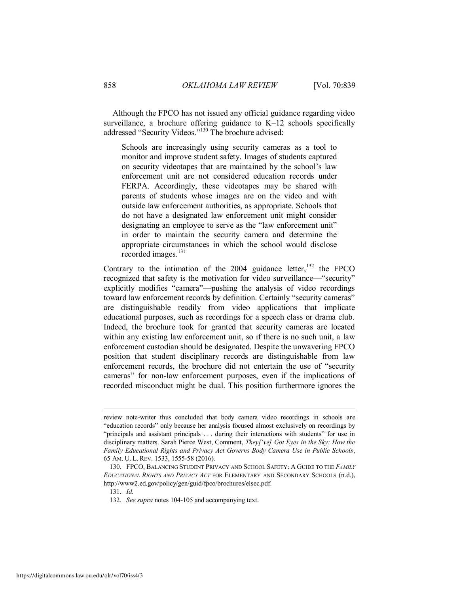Although the FPCO has not issued any official guidance regarding video surveillance, a brochure offering guidance to K–12 schools specifically addressed "Security Videos."<sup>130</sup> The brochure advised:

Schools are increasingly using security cameras as a tool to monitor and improve student safety. Images of students captured on security videotapes that are maintained by the school's law enforcement unit are not considered education records under FERPA. Accordingly, these videotapes may be shared with parents of students whose images are on the video and with outside law enforcement authorities, as appropriate. Schools that do not have a designated law enforcement unit might consider designating an employee to serve as the "law enforcement unit" in order to maintain the security camera and determine the appropriate circumstances in which the school would disclose recorded images.<sup>131</sup>

Contrary to the intimation of the  $2004$  guidance letter, <sup>132</sup> the FPCO recognized that safety is the motivation for video surveillance—"security" explicitly modifies "camera"—pushing the analysis of video recordings toward law enforcement records by definition. Certainly "security cameras" are distinguishable readily from video applications that implicate educational purposes, such as recordings for a speech class or drama club. Indeed, the brochure took for granted that security cameras are located within any existing law enforcement unit, so if there is no such unit, a law enforcement custodian should be designated. Despite the unwavering FPCO position that student disciplinary records are distinguishable from law enforcement records, the brochure did not entertain the use of "security cameras" for non-law enforcement purposes, even if the implications of recorded misconduct might be dual. This position furthermore ignores the

review note-writer thus concluded that body camera video recordings in schools are "education records" only because her analysis focused almost exclusively on recordings by "principals and assistant principals . . . during their interactions with students" for use in disciplinary matters. Sarah Pierce West, Comment, *They['ve] Got Eyes in the Sky: How the Family Educational Rights and Privacy Act Governs Body Camera Use in Public Schools*, 65 AM. U. L. REV. 1533, 1555-58 (2016).

 <sup>130.</sup> FPCO, BALANCING STUDENT PRIVACY AND SCHOOL SAFETY: A GUIDE TO THE *FAMILY EDUCATIONAL RIGHTS AND PRIVACY ACT* FOR ELEMENTARY AND SECONDARY SCHOOLS (n.d.), http://www2.ed.gov/policy/gen/guid/fpco/brochures/elsec.pdf.

 <sup>131.</sup> *Id.*

 <sup>132.</sup> *See supra* note[s 104](#page-15-0)[-105](#page-16-2) and accompanying text.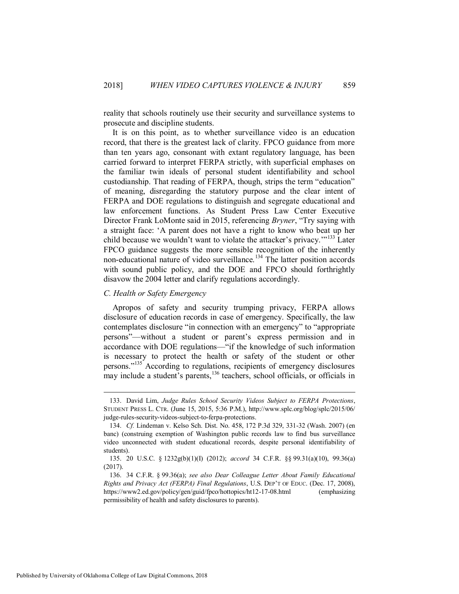reality that schools routinely use their security and surveillance systems to prosecute and discipline students.

It is on this point, as to whether surveillance video is an education record, that there is the greatest lack of clarity. FPCO guidance from more than ten years ago, consonant with extant regulatory language, has been carried forward to interpret FERPA strictly, with superficial emphases on the familiar twin ideals of personal student identifiability and school custodianship. That reading of FERPA, though, strips the term "education" of meaning, disregarding the statutory purpose and the clear intent of FERPA and DOE regulations to distinguish and segregate educational and law enforcement functions. As Student Press Law Center Executive Director Frank LoMonte said in 2015, referencing *Bryner*, "Try saying with a straight face: 'A parent does not have a right to know who beat up her child because we wouldn't want to violate the attacker's privacy."<sup>133</sup> Later FPCO guidance suggests the more sensible recognition of the inherently non-educational nature of video surveillance.<sup>134</sup> The latter position accords with sound public policy, and the DOE and FPCO should forthrightly disavow the 2004 letter and clarify regulations accordingly.

#### <span id="page-21-0"></span>*C. Health or Safety Emergency*

Apropos of safety and security trumping privacy, FERPA allows disclosure of education records in case of emergency. Specifically, the law contemplates disclosure "in connection with an emergency" to "appropriate persons"—without a student or parent's express permission and in accordance with DOE regulations—"if the knowledge of such information is necessary to protect the health or safety of the student or other persons."<sup>135</sup> According to regulations, recipients of emergency disclosures may include a student's parents,<sup>136</sup> teachers, school officials, or officials in

 <sup>133.</sup> David Lim, *Judge Rules School Security Videos Subject to FERPA Protections*, STUDENT PRESS L. CTR. (June 15, 2015, 5:36 P.M.), http://www.splc.org/blog/splc/2015/06/ judge-rules-security-videos-subject-to-ferpa-protections.

 <sup>134.</sup> *Cf.* Lindeman v. Kelso Sch. Dist. No. 458, 172 P.3d 329, 331-32 (Wash. 2007) (en banc) (construing exemption of Washington public records law to find bus surveillance video unconnected with student educational records, despite personal identifiability of students).

 <sup>135. 20</sup> U.S.C. § 1232g(b)(1)(I) (2012); *accord* 34 C.F.R. §§ 99.31(a)(10), 99.36(a) (2017).

 <sup>136. 34</sup> C.F.R. § 99.36(a); *see also Dear Colleague Letter About Family Educational Rights and Privacy Act (FERPA) Final Regulations*, U.S. DEP'T OF EDUC. (Dec. 17, 2008), https://www2.ed.gov/policy/gen/guid/fpco/hottopics/ht12-17-08.html (emphasizing permissibility of health and safety disclosures to parents).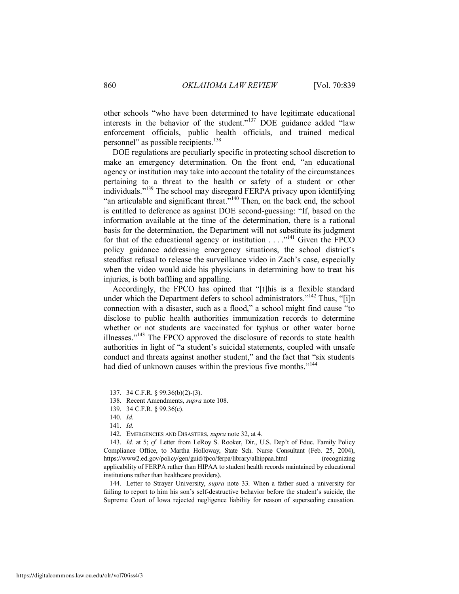other schools "who have been determined to have legitimate educational interests in the behavior of the student."<sup>137</sup> DOE guidance added "law enforcement officials, public health officials, and trained medical personnel" as possible recipients.<sup>138</sup>

DOE regulations are peculiarly specific in protecting school discretion to make an emergency determination. On the front end, "an educational agency or institution may take into account the totality of the circumstances pertaining to a threat to the health or safety of a student or other individuals."<sup>139</sup> The school may disregard FERPA privacy upon identifying "an articulable and significant threat."<sup>140</sup> Then, on the back end, the school is entitled to deference as against DOE second-guessing: "If, based on the information available at the time of the determination, there is a rational basis for the determination, the Department will not substitute its judgment for that of the educational agency or institution  $\ldots$ <sup>141</sup> Given the FPCO policy guidance addressing emergency situations, the school district's steadfast refusal to release the surveillance video in Zach's case, especially when the video would aide his physicians in determining how to treat his injuries, is both baffling and appalling.

<span id="page-22-0"></span>Accordingly, the FPCO has opined that "[t]his is a flexible standard under which the Department defers to school administrators."<sup>142</sup> Thus, "[i]n connection with a disaster, such as a flood," a school might find cause "to disclose to public health authorities immunization records to determine whether or not students are vaccinated for typhus or other water borne illnesses."<sup>143</sup> The FPCO approved the disclosure of records to state health authorities in light of "a student's suicidal statements, coupled with unsafe conduct and threats against another student," and the fact that "six students had died of unknown causes within the previous five months."<sup>144</sup>

 $\overline{a}$ 

 144. Letter to Strayer University, *supra* note [33.](#page-6-0) When a father sued a university for failing to report to him his son's self-destructive behavior before the student's suicide, the Supreme Court of Iowa rejected negligence liability for reason of superseding causation.

 <sup>137. 34</sup> C.F.R. § 99.36(b)(2)-(3).

 <sup>138.</sup> Recent Amendments, *supra* not[e 108.](#page-16-3)

 <sup>139. 34</sup> C.F.R. § 99.36(c).

 <sup>140.</sup> *Id.*

 <sup>141.</sup> *Id.*

 <sup>142.</sup> EMERGENCIES AND DISASTERS, *supra* not[e 32,](#page-6-1) at 4.

 <sup>143.</sup> *Id.* at 5; *cf.* Letter from LeRoy S. Rooker, Dir., U.S. Dep't of Educ. Family Policy Compliance Office, to Martha Holloway, State Sch. Nurse Consultant (Feb. 25, 2004), https://www2.ed.gov/policy/gen/guid/fpco/ferpa/library/alhippaa.html (recognizing applicability of FERPA rather than HIPAA to student health records maintained by educational institutions rather than healthcare providers).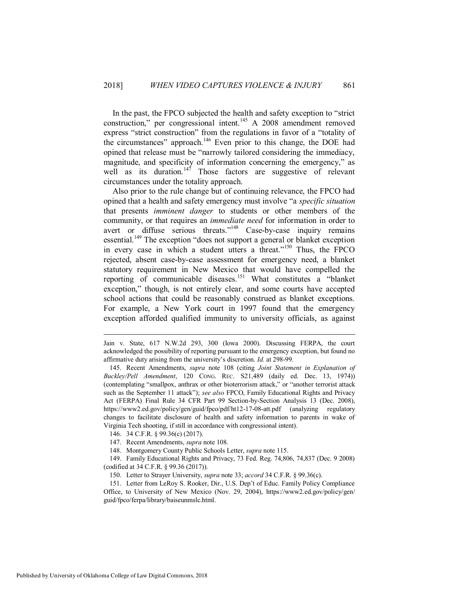In the past, the FPCO subjected the health and safety exception to "strict construction," per congressional intent.<sup>145</sup> A 2008 amendment removed express "strict construction" from the regulations in favor of a "totality of the circumstances" approach.<sup>146</sup> Even prior to this change, the DOE had opined that release must be "narrowly tailored considering the immediacy, magnitude, and specificity of information concerning the emergency," as well as its duration.<sup>147</sup> Those factors are suggestive of relevant circumstances under the totality approach.

Also prior to the rule change but of continuing relevance, the FPCO had opined that a health and safety emergency must involve "a *specific situation* that presents *imminent danger* to students or other members of the community, or that requires an *immediate need* for information in order to avert or diffuse serious threats."<sup>148</sup> Case-by-case inquiry remains essential.<sup>149</sup> The exception "does not support a general or blanket exception in every case in which a student utters a threat."<sup>150</sup> Thus, the FPCO rejected, absent case-by-case assessment for emergency need, a blanket statutory requirement in New Mexico that would have compelled the reporting of communicable diseases.<sup>151</sup> What constitutes a "blanket exception," though, is not entirely clear, and some courts have accepted school actions that could be reasonably construed as blanket exceptions. For example, a New York court in 1997 found that the emergency exception afforded qualified immunity to university officials, as against

- 146. 34 C.F.R. § 99.36(c) (2017).
- 147. Recent Amendments, *supra* not[e 108.](#page-16-3)
- 148. Montgomery County Public Schools Letter, *supra* not[e 115.](#page-17-0)

 149. Family Educational Rights and Privacy, 73 Fed. Reg. 74,806, 74,837 (Dec. 9 2008) (codified at 34 C.F.R. § 99.36 (2017)).

150. Letter to Strayer University, *supra* not[e 33;](#page-6-0) *accord* 34 C.F.R. § 99.36(c).

<span id="page-23-0"></span>Jain v. State, 617 N.W.2d 293, 300 (Iowa 2000). Discussing FERPA, the court acknowledged the possibility of reporting pursuant to the emergency exception, but found no affirmative duty arising from the university's discretion. *Id.* at 298-99.

 <sup>145.</sup> Recent Amendments, *supra* note [108](#page-16-3) (citing *Joint Statement in Explanation of Buckley/Pell Amendment*, 120 CONG. REC. S21,489 (daily ed. Dec. 13, 1974)) (contemplating "smallpox, anthrax or other bioterrorism attack," or "another terrorist attack such as the September 11 attack"); *see also* FPCO, Family Educational Rights and Privacy Act (FERPA) Final Rule 34 CFR Part 99 Section-by-Section Analysis 13 (Dec. 2008), https://www2.ed.gov/policy/gen/guid/fpco/pdf/ht12-17-08-att.pdf (analyzing regulatory changes to facilitate disclosure of health and safety information to parents in wake of Virginia Tech shooting, if still in accordance with congressional intent).

 <sup>151.</sup> Letter from LeRoy S. Rooker, Dir., U.S. Dep't of Educ. Family Policy Compliance Office, to University of New Mexico (Nov. 29, 2004), https://www2.ed.gov/policy/gen/ guid/fpco/ferpa/library/baiseunmslc.html.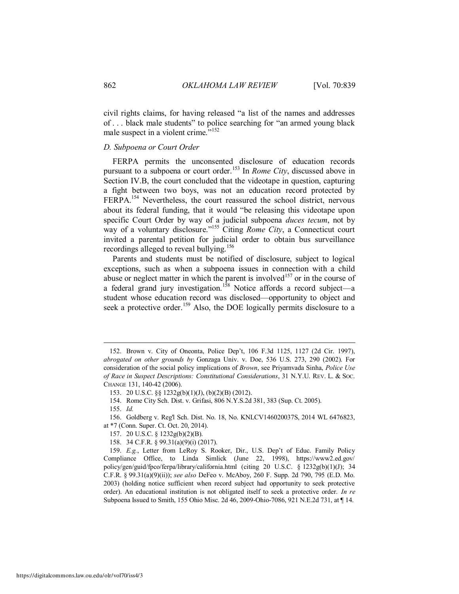civil rights claims, for having released "a list of the names and addresses of . . . black male students" to police searching for "an armed young black male suspect in a violent crime. $^{5.152}$ 

#### <span id="page-24-0"></span>*D. Subpoena or Court Order*

FERPA permits the unconsented disclosure of education records pursuant to a subpoena or court order.<sup>153</sup> In *Rome City*, discussed above in Section IV.B, the court concluded that the videotape in question, capturing a fight between two boys, was not an education record protected by FERPA.<sup>154</sup> Nevertheless, the court reassured the school district, nervous about its federal funding, that it would "be releasing this videotape upon specific Court Order by way of a judicial subpoena *duces tecum*, not by way of a voluntary disclosure."<sup>155</sup> Citing *Rome City*, a Connecticut court invited a parental petition for judicial order to obtain bus surveillance recordings alleged to reveal bullying.<sup>156</sup>

Parents and students must be notified of disclosure, subject to logical exceptions, such as when a subpoena issues in connection with a child abuse or neglect matter in which the parent is involved<sup>157</sup> or in the course of a federal grand jury investigation.<sup>158</sup> Notice affords a record subject—a student whose education record was disclosed—opportunity to object and seek a protective order.<sup>159</sup> Also, the DOE logically permits disclosure to a

155. *Id.*

 $\overline{a}$ 

 156. Goldberg v. Reg'l Sch. Dist. No. 18, No. KNLCV146020037S, 2014 WL 6476823, at \*7 (Conn. Super. Ct. Oct. 20, 2014).

 <sup>152.</sup> Brown v. City of Oneonta, Police Dep't, 106 F.3d 1125, 1127 (2d Cir. 1997), *abrogated on other grounds by* Gonzaga Univ. v. Doe, 536 U.S. 273, 290 (2002). For consideration of the social policy implications of *Brown*, see Priyamvada Sinha, *Police Use of Race in Suspect Descriptions: Constitutional Considerations*, 31 N.Y.U. REV. L. & SOC. CHANGE 131, 140-42 (2006).

 <sup>153. 20</sup> U.S.C. §§ 1232g(b)(1)(J), (b)(2)(B) (2012).

 <sup>154.</sup> Rome City Sch. Dist. v. Grifasi, 806 N.Y.S.2d 381, 383 (Sup. Ct. 2005).

 <sup>157. 20</sup> U.S.C. § 1232g(b)(2)(B).

 <sup>158. 34</sup> C.F.R. § 99.31(a)(9)(i) (2017).

 <sup>159.</sup> *E.g.*, Letter from LeRoy S. Rooker, Dir., U.S. Dep't of Educ. Family Policy Compliance Office, to Linda Simlick (June 22, 1998), https://www2.ed.gov/ policy/gen/guid/fpco/ferpa/library/california.html (citing 20 U.S.C. § 1232g(b)(1)(J); 34 C.F.R. § 99.31(a)(9)(ii)); *see also* DeFeo v. McAboy, 260 F. Supp. 2d 790, 795 (E.D. Mo. 2003) (holding notice sufficient when record subject had opportunity to seek protective order). An educational institution is not obligated itself to seek a protective order. *In re* Subpoena Issued to Smith, 155 Ohio Misc. 2d 46, 2009-Ohio-7086, 921 N.E.2d 731, at ¶ 14.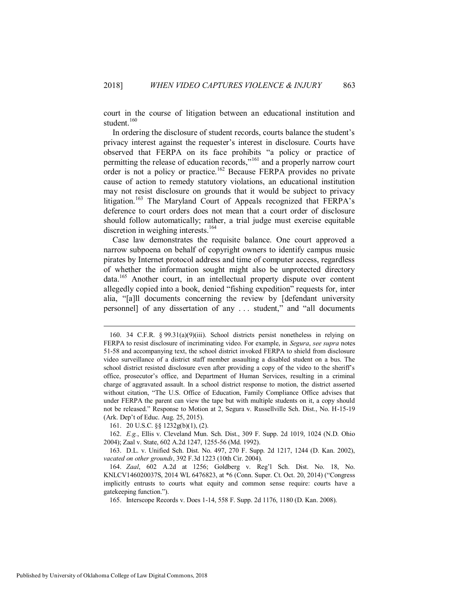court in the course of litigation between an educational institution and student.<sup>160</sup>

<span id="page-25-0"></span>In ordering the disclosure of student records, courts balance the student's privacy interest against the requester's interest in disclosure. Courts have observed that FERPA on its face prohibits "a policy or practice of permitting the release of education records,"<sup>161</sup> and a properly narrow court order is not a policy or practice.<sup>162</sup> Because FERPA provides no private cause of action to remedy statutory violations, an educational institution may not resist disclosure on grounds that it would be subject to privacy litigation.<sup>163</sup> The Maryland Court of Appeals recognized that FERPA's deference to court orders does not mean that a court order of disclosure should follow automatically; rather, a trial judge must exercise equitable discretion in weighing interests.<sup>164</sup>

<span id="page-25-2"></span><span id="page-25-1"></span>Case law demonstrates the requisite balance. One court approved a narrow subpoena on behalf of copyright owners to identify campus music pirates by Internet protocol address and time of computer access, regardless of whether the information sought might also be unprotected directory data.<sup>165</sup> Another court, in an intellectual property dispute over content allegedly copied into a book, denied "fishing expedition" requests for, inter alia, "[a]ll documents concerning the review by [defendant university personnel] of any dissertation of any . . . student," and "all documents

161. 20 U.S.C. §§ 1232g(b)(1), (2).

 162. *E.g.*, Ellis v. Cleveland Mun. Sch. Dist., 309 F. Supp. 2d 1019, 1024 (N.D. Ohio 2004); Zaal v. State, 602 A.2d 1247, 1255-56 (Md. 1992).

 163. D.L. v. Unified Sch. Dist. No. 497, 270 F. Supp. 2d 1217, 1244 (D. Kan. 2002), *vacated on other grounds*, 392 F.3d 1223 (10th Cir. 2004).

165. Interscope Records v. Does 1-14, 558 F. Supp. 2d 1176, 1180 (D. Kan. 2008).

 <sup>160. 34</sup> C.F.R. § 99.31(a)(9)(iii). School districts persist nonetheless in relying on FERPA to resist disclosure of incriminating video. For example, in *Segura*, *see supra* notes [51-](#page-9-0)[58](#page-9-1) and accompanying text, the school district invoked FERPA to shield from disclosure video surveillance of a district staff member assaulting a disabled student on a bus. The school district resisted disclosure even after providing a copy of the video to the sheriff's office, prosecutor's office, and Department of Human Services, resulting in a criminal charge of aggravated assault. In a school district response to motion, the district asserted without citation, "The U.S. Office of Education, Family Compliance Office advises that under FERPA the parent can view the tape but with multiple students on it, a copy should not be released." Response to Motion at 2, Segura v. Russellville Sch. Dist., No. H-15-19 (Ark. Dep't of Educ. Aug. 25, 2015).

 <sup>164.</sup> *Zaal*, 602 A.2d at 1256; Goldberg v. Reg'l Sch. Dist. No. 18, No. KNLCV146020037S, 2014 WL 6476823, at \*6 (Conn. Super. Ct. Oct. 20, 2014) ("Congress implicitly entrusts to courts what equity and common sense require: courts have a gatekeeping function.").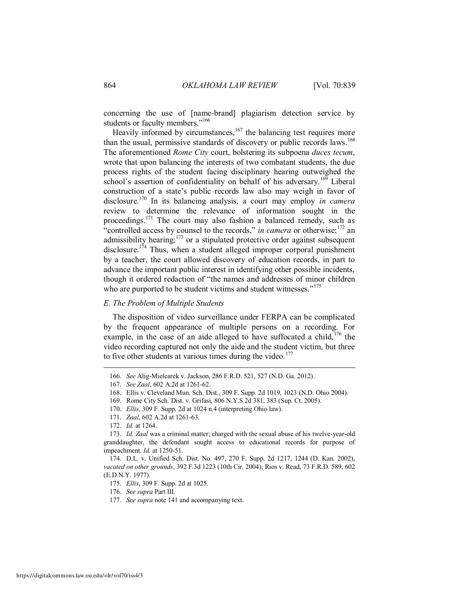concerning the use of [name-brand] plagiarism detection service by students or faculty members."<sup>166</sup>

<span id="page-26-3"></span>Heavily informed by circumstances, $167$  the balancing test requires more than the usual, permissive standards of discovery or public records laws.<sup>168</sup> The aforementioned *Rome City* court, bolstering its subpoena *duces tecum*, wrote that upon balancing the interests of two combatant students, the due process rights of the student facing disciplinary hearing outweighed the school's assertion of confidentiality on behalf of his adversary.<sup>169</sup> Liberal construction of a state's public records law also may weigh in favor of disclosure.<sup>170</sup> In its balancing analysis, a court may employ *in camera* review to determine the relevance of information sought in the proceedings.<sup>171</sup> The court may also fashion a balanced remedy, such as "controlled access by counsel to the records," *in camera* or otherwise;<sup>172</sup> an admissibility hearing;<sup>173</sup> or a stipulated protective order against subsequent disclosure.<sup>174</sup> Thus, when a student alleged improper corporal punishment by a teacher, the court allowed discovery of education records, in part to advance the important public interest in identifying other possible incidents, though it ordered redaction of "the names and addresses of minor children who are purported to be student victims and student witnesses."<sup>175</sup>

#### <span id="page-26-2"></span><span id="page-26-1"></span><span id="page-26-0"></span>*E. The Problem of Multiple Students*

The disposition of video surveillance under FERPA can be complicated by the frequent appearance of multiple persons on a recording. For example, in the case of an aide alleged to have suffocated a child,  $176$  the video recording captured not only the aide and the student victim, but three to five other students at various times during the video.<sup>177</sup>

 <sup>166.</sup> *See* Alig-Mielcarek v. Jackson, 286 F.R.D. 521, 527 (N.D. Ga. 2012).

 <sup>167.</sup> *See Zaal*, 602 A.2d at 1261-62.

 <sup>168.</sup> Ellis v. Cleveland Mun. Sch. Dist., 309 F. Supp. 2d 1019, 1023 (N.D. Ohio 2004).

 <sup>169.</sup> Rome City Sch. Dist. v. Grifasi, 806 N.Y.S.2d 381, 383 (Sup. Ct. 2005).

 <sup>170.</sup> *Ellis*, 309 F. Supp. 2d at 1024 n.4 (interpreting Ohio law).

 <sup>171.</sup> *Zaal*, 602 A.2d at 1261-63.

 <sup>172.</sup> *Id.* at 1264.

 <sup>173.</sup> *Id. Zaal* was a criminal matter; charged with the sexual abuse of his twelve-year-old granddaughter, the defendant sought access to educational records for purpose of impeachment. *Id.* at 1250-51.

 <sup>174.</sup> D.L. v. Unified Sch. Dist. No. 497, 270 F. Supp. 2d 1217, 1244 (D. Kan. 2002), *vacated on other grounds*, 392 F.3d 1223 (10th Cir. 2004); Rios v. Read, 73 F.R.D. 589, 602 (E.D.N.Y. 1977).

 <sup>175.</sup> *Ellis*, 309 F. Supp. 2d at 1025.

 <sup>176.</sup> *See supra* Part III.

 <sup>177.</sup> *See supra* not[e 141](#page-22-0) and accompanying text.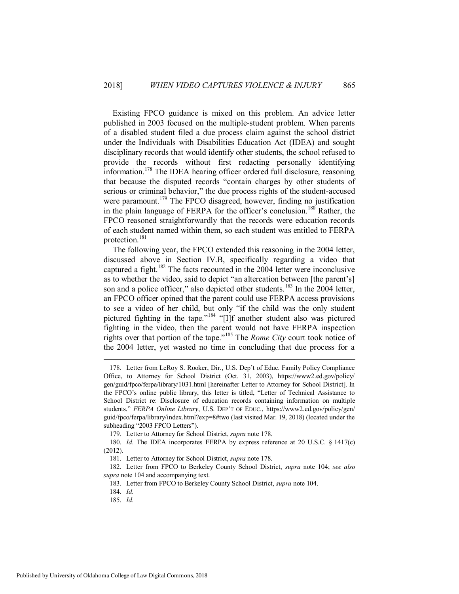<span id="page-27-0"></span>Existing FPCO guidance is mixed on this problem. An advice letter published in 2003 focused on the multiple-student problem. When parents of a disabled student filed a due process claim against the school district under the Individuals with Disabilities Education Act (IDEA) and sought disciplinary records that would identify other students, the school refused to provide the records without first redacting personally identifying information.<sup>178</sup> The IDEA hearing officer ordered full disclosure, reasoning that because the disputed records "contain charges by other students of serious or criminal behavior," the due process rights of the student-accused were paramount.<sup>179</sup> The FPCO disagreed, however, finding no justification in the plain language of FERPA for the officer's conclusion.<sup>180</sup> Rather, the FPCO reasoned straightforwardly that the records were education records of each student named within them, so each student was entitled to FERPA protection.<sup>181</sup>

The following year, the FPCO extended this reasoning in the 2004 letter, discussed above in Section IV.B, specifically regarding a video that captured a fight.<sup>182</sup> The facts recounted in the 2004 letter were inconclusive as to whether the video, said to depict "an altercation between [the parent's] son and a police officer," also depicted other students.<sup>183</sup> In the 2004 letter, an FPCO officer opined that the parent could use FERPA access provisions to see a video of her child, but only "if the child was the only student pictured fighting in the tape."<sup>184</sup> "[I]f another student also was pictured fighting in the video, then the parent would not have FERPA inspection rights over that portion of the tape."<sup>185</sup> The *Rome City* court took notice of the 2004 letter, yet wasted no time in concluding that due process for a

 <sup>178.</sup> Letter from LeRoy S. Rooker, Dir., U.S. Dep't of Educ. Family Policy Compliance Office, to Attorney for School District (Oct. 31, 2003), https://www2.ed.gov/policy/ gen/guid/fpco/ferpa/library/1031.html [hereinafter Letter to Attorney for School District]. In the FPCO's online public library, this letter is titled, "Letter of Technical Assistance to School District re: Disclosure of education records containing information on multiple students." *FERPA Online Library*, U.S. DEP'T OF EDUC., https://www2.ed.gov/policy/gen/ guid/fpco/ferpa/library/index.html?exp=8#two (last visited Mar. 19, 2018) (located under the subheading "2003 FPCO Letters").

 <sup>179.</sup> Letter to Attorney for School District, *supra* not[e 178.](#page-27-0)

 <sup>180.</sup> *Id.* The IDEA incorporates FERPA by express reference at 20 U.S.C. § 1417(c) (2012).

 <sup>181.</sup> Letter to Attorney for School District, *supra* not[e 178.](#page-27-0)

 <sup>182.</sup> Letter from FPCO to Berkeley County School District, *supra* note [104;](#page-15-0) *see also supra* not[e 104](#page-15-0) and accompanying text.

 <sup>183.</sup> Letter from FPCO to Berkeley County School District, *supra* not[e 104.](#page-15-0)

 <sup>184.</sup> *Id.*

 <sup>185.</sup> *Id.*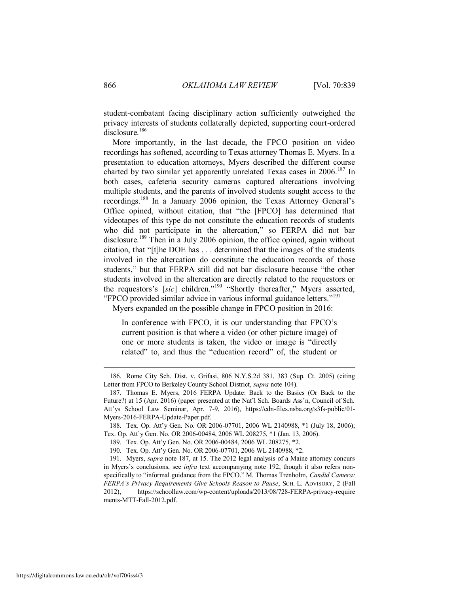student-combatant facing disciplinary action sufficiently outweighed the privacy interests of students collaterally depicted, supporting court-ordered disclosure.<sup>186</sup>

<span id="page-28-0"></span>More importantly, in the last decade, the FPCO position on video recordings has softened, according to Texas attorney Thomas E. Myers. In a presentation to education attorneys, Myers described the different course charted by two similar yet apparently unrelated Texas cases in  $2006$ <sup>187</sup> In both cases, cafeteria security cameras captured altercations involving multiple students, and the parents of involved students sought access to the recordings.<sup>188</sup> In a January 2006 opinion, the Texas Attorney General's Office opined, without citation, that "the [FPCO] has determined that videotapes of this type do not constitute the education records of students who did not participate in the altercation," so FERPA did not bar disclosure.<sup>189</sup> Then in a July 2006 opinion, the office opined, again without citation, that "[t]he DOE has . . . determined that the images of the students involved in the altercation do constitute the education records of those students," but that FERPA still did not bar disclosure because "the other students involved in the altercation are directly related to the requestors or the requestors's [*sic*] children."<sup>190</sup> "Shortly thereafter," Myers asserted, "FPCO provided similar advice in various informal guidance letters."<sup>191</sup>

Myers expanded on the possible change in FPCO position in 2016:

<span id="page-28-1"></span>In conference with FPCO, it is our understanding that FPCO's current position is that where a video (or other picture image) of one or more students is taken, the video or image is "directly related" to, and thus the "education record" of, the student or

 <sup>186.</sup> Rome City Sch. Dist. v. Grifasi, 806 N.Y.S.2d 381, 383 (Sup. Ct. 2005) (citing Letter from FPCO to Berkeley County School District, *supra* not[e 104\)](#page-15-0).

 <sup>187.</sup> Thomas E. Myers, 2016 FERPA Update: Back to the Basics (Or Back to the Future?) at 15 (Apr. 2016) (paper presented at the Nat'l Sch. Boards Ass'n, Council of Sch. Att'ys School Law Seminar, Apr. 7-9, 2016), https://cdn-files.nsba.org/s3fs-public/01- Myers-2016-FERPA-Update-Paper.pdf.

 <sup>188.</sup> Tex. Op. Att'y Gen. No. OR 2006-07701, 2006 WL 2140988, \*1 (July 18, 2006); Tex. Op. Att'y Gen. No. OR 2006-00484, 2006 WL 208275, \*1 (Jan. 13, 2006).

 <sup>189.</sup> Tex. Op. Att'y Gen. No. OR 2006-00484, 2006 WL 208275, \*2.

 <sup>190.</sup> Tex. Op. Att'y Gen. No. OR 2006-07701, 2006 WL 2140988, \*2.

 <sup>191.</sup> Myers, *supra* note [187,](#page-28-0) at 15. The 2012 legal analysis of a Maine attorney concurs in Myers's conclusions, see *infra* text accompanying note [192,](#page-29-1) though it also refers nonspecifically to "informal guidance from the FPCO." M. Thomas Trenholm, *Candid Camera: FERPA's Privacy Requirements Give Schools Reason to Pause*, SCH. L. ADVISORY, 2 (Fall 2012), https://schoollaw.com/wp-content/uploads/2013/08/728-FERPA-privacy-require ments-MTT-Fall-2012.pdf.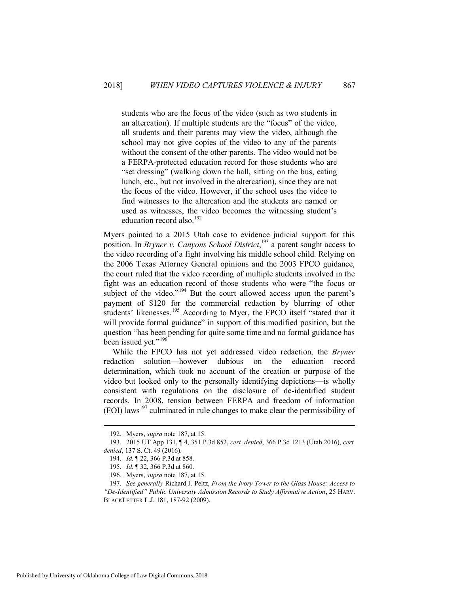students who are the focus of the video (such as two students in an altercation). If multiple students are the "focus" of the video, all students and their parents may view the video, although the school may not give copies of the video to any of the parents without the consent of the other parents. The video would not be a FERPA-protected education record for those students who are "set dressing" (walking down the hall, sitting on the bus, eating lunch, etc., but not involved in the altercation), since they are not the focus of the video. However, if the school uses the video to find witnesses to the altercation and the students are named or used as witnesses, the video becomes the witnessing student's education record also.<sup>192</sup>

<span id="page-29-1"></span>Myers pointed to a 2015 Utah case to evidence judicial support for this position. In *Bryner v. Canyons School District*, <sup>193</sup> a parent sought access to the video recording of a fight involving his middle school child. Relying on the 2006 Texas Attorney General opinions and the 2003 FPCO guidance, the court ruled that the video recording of multiple students involved in the fight was an education record of those students who were "the focus or subject of the video."<sup>194</sup> But the court allowed access upon the parent's payment of \$120 for the commercial redaction by blurring of other students' likenesses.<sup>195</sup> According to Myer, the FPCO itself "stated that it will provide formal guidance" in support of this modified position, but the question "has been pending for quite some time and no formal guidance has been issued yet."<sup>196</sup>

<span id="page-29-0"></span>While the FPCO has not yet addressed video redaction, the *Bryner* redaction solution—however dubious on the education record determination, which took no account of the creation or purpose of the video but looked only to the personally identifying depictions—is wholly consistent with regulations on the disclosure of de-identified student records. In 2008, tension between FERPA and freedom of information (FOI) laws<sup>197</sup> culminated in rule changes to make clear the permissibility of

<span id="page-29-2"></span> <sup>192.</sup> Myers, *supra* not[e 187,](#page-28-0) at 15.

 <sup>193. 2015</sup> UT App 131, ¶ 4, 351 P.3d 852, *cert. denied*, 366 P.3d 1213 (Utah 2016), *cert. denied*, 137 S. Ct. 49 (2016).

 <sup>194.</sup> *Id.* ¶ 22, 366 P.3d at 858.

 <sup>195.</sup> *Id.* ¶ 32, 366 P.3d at 860.

 <sup>196.</sup> Myers, *supra* not[e 187,](#page-28-0) at 15.

 <sup>197.</sup> *See generally* Richard J. Peltz, *From the Ivory Tower to the Glass House: Access to "De-Identified" Public University Admission Records to Study Affirmative Action*, 25 HARV. BLACKLETTER L.J. 181, 187-92 (2009).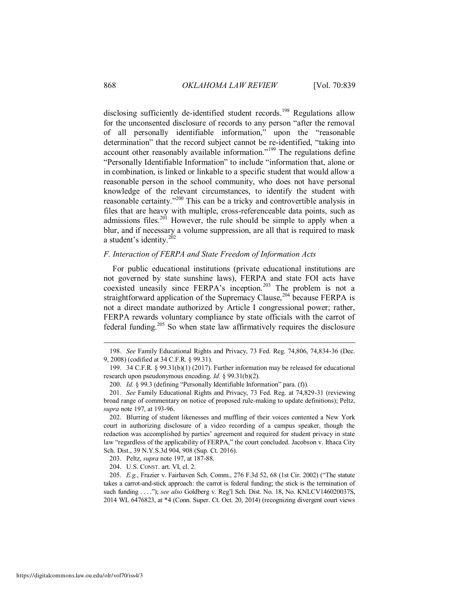disclosing sufficiently de-identified student records.<sup>198</sup> Regulations allow for the unconsented disclosure of records to any person "after the removal of all personally identifiable information," upon the "reasonable determination" that the record subject cannot be re-identified, "taking into account other reasonably available information."<sup>199</sup> The regulations define "Personally Identifiable Information" to include "information that, alone or in combination, is linked or linkable to a specific student that would allow a reasonable person in the school community, who does not have personal knowledge of the relevant circumstances, to identify the student with reasonable certainty."<sup>200</sup> This can be a tricky and controvertible analysis in files that are heavy with multiple, cross-referenceable data points, such as admissions files.<sup>201</sup> However, the rule should be simple to apply when a blur, and if necessary a volume suppression, are all that is required to mask a student's identity.<sup>202</sup>

## <span id="page-30-0"></span>*F. Interaction of FERPA and State Freedom of Information Acts*

For public educational institutions (private educational institutions are not governed by state sunshine laws), FERPA and state FOI acts have coexisted uneasily since FERPA's inception.<sup>203</sup> The problem is not a straightforward application of the Supremacy Clause,<sup>204</sup> because FERPA is not a direct mandate authorized by Article I congressional power; rather, FERPA rewards voluntary compliance by state officials with the carrot of federal funding.<sup>205</sup> So when state law affirmatively requires the disclosure

 202. Blurring of student likenesses and muffling of their voices contented a New York court in authorizing disclosure of a video recording of a campus speaker, though the redaction was accomplished by parties' agreement and required for student privacy in state law "regardless of the applicability of FERPA," the court concluded. Jacobson v. Ithaca City Sch. Dist., 39 N.Y.S.3d 904, 908 (Sup. Ct. 2016).

203. Peltz, *supra* not[e 197,](#page-29-2) at 187-88.

204. U.S. CONST. art. VI, cl. 2.

 205. *E.g.*, Frazier v. Fairhaven Sch. Comm., 276 F.3d 52, 68 (1st Cir. 2002) ("The statute takes a carrot-and-stick approach: the carrot is federal funding; the stick is the termination of such funding . . . ."); *see also* Goldberg v. Reg'l Sch. Dist. No. 18, No. KNLCV146020037S, 2014 WL 6476823, at \*4 (Conn. Super. Ct. Oct. 20, 2014) (recognizing divergent court views

 <sup>198.</sup> *See* Family Educational Rights and Privacy, 73 Fed. Reg. 74,806, 74,834-36 (Dec. 9, 2008) (codified at 34 C.F.R. § 99.31).

 <sup>199. 34</sup> C.F.R. § 99.31(b)(1) (2017). Further information may be released for educational research upon pseudonymous encoding. *Id.* § 99.31(b)(2).

 <sup>200.</sup> *Id.* § 99.3 (defining "Personally Identifiable Information" para. (f)).

 <sup>201.</sup> *See* Family Educational Rights and Privacy, 73 Fed. Reg. at 74,829-31 (reviewing broad range of commentary on notice of proposed rule-making to update definitions); Peltz, *supra* not[e 197,](#page-29-2) at 193-96.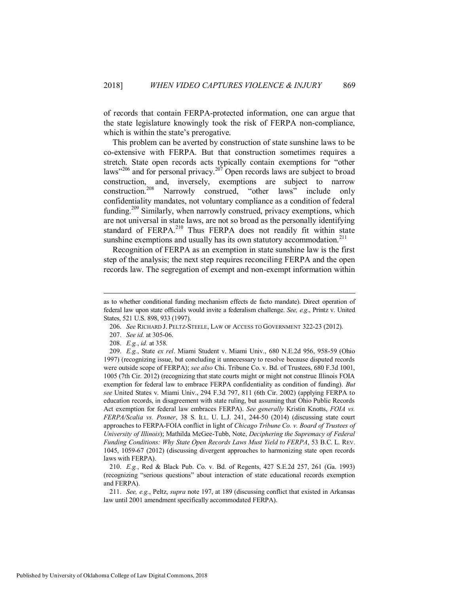of records that contain FERPA-protected information, one can argue that the state legislature knowingly took the risk of FERPA non-compliance, which is within the state's prerogative.

<span id="page-31-0"></span>This problem can be averted by construction of state sunshine laws to be co-extensive with FERPA. But that construction sometimes requires a stretch. State open records acts typically contain exemptions for "other laws"<sup>206</sup> and for personal privacy.<sup>207</sup> Open records laws are subject to broad construction, and, inversely, exemptions are subject to narrow<br>construction.<sup>208</sup> Narrowly construed, "other laws" include only Narrowly construed, "other laws" include only confidentiality mandates, not voluntary compliance as a condition of federal funding.<sup>209</sup> Similarly, when narrowly construed, privacy exemptions, which are not universal in state laws, are not so broad as the personally identifying standard of FERPA.<sup>210</sup> Thus FERPA does not readily fit within state sunshine exemptions and usually has its own statutory accommodation.<sup>211</sup>

Recognition of FERPA as an exemption in state sunshine law is the first step of the analysis; the next step requires reconciling FERPA and the open records law. The segregation of exempt and non-exempt information within

as to whether conditional funding mechanism effects de facto mandate). Direct operation of federal law upon state officials would invite a federalism challenge. *See, e.g*., Printz v. United States, 521 U.S. 898, 933 (1997).

 <sup>206.</sup> *See* RICHARD J. PELTZ-STEELE, LAW OF ACCESS TO GOVERNMENT 322-23 (2012).

 <sup>207.</sup> *See id.* at 305-06.

 <sup>208.</sup> *E.g.*, *id.* at 358.

 <sup>209.</sup> *E.g.*, State *ex rel*. Miami Student v. Miami Univ., 680 N.E.2d 956, 958-59 (Ohio 1997) (recognizing issue, but concluding it unnecessary to resolve because disputed records were outside scope of FERPA); *see also* Chi. Tribune Co. v. Bd. of Trustees, 680 F.3d 1001, 1005 (7th Cir. 2012) (recognizing that state courts might or might not construe Illinois FOIA exemption for federal law to embrace FERPA confidentiality as condition of funding). *But see* United States v. Miami Univ., 294 F.3d 797, 811 (6th Cir. 2002) (applying FERPA to education records, in disagreement with state ruling, but assuming that Ohio Public Records Act exemption for federal law embraces FERPA). *See generally* Kristin Knotts, *FOIA vs. FERPA/Scalia vs. Posner*, 38 S. ILL. U. L.J. 241, 244-50 (2014) (discussing state court approaches to FERPA-FOIA conflict in light of *Chicago Tribune Co. v. Board of Trustees of University of Illinois*); Mathilda McGee-Tubb, Note, *Deciphering the Supremacy of Federal Funding Conditions: Why State Open Records Laws Must Yield to FERPA*, 53 B.C. L. REV. 1045, 1059-67 (2012) (discussing divergent approaches to harmonizing state open records laws with FERPA).

 <sup>210.</sup> *E.g.*, Red & Black Pub. Co. v. Bd. of Regents, 427 S.E.2d 257, 261 (Ga. 1993) (recognizing "serious questions" about interaction of state educational records exemption and FERPA).

 <sup>211.</sup> *See, e.g.*, Peltz, *supra* note [197,](#page-29-2) at 189 (discussing conflict that existed in Arkansas law until 2001 amendment specifically accommodated FERPA).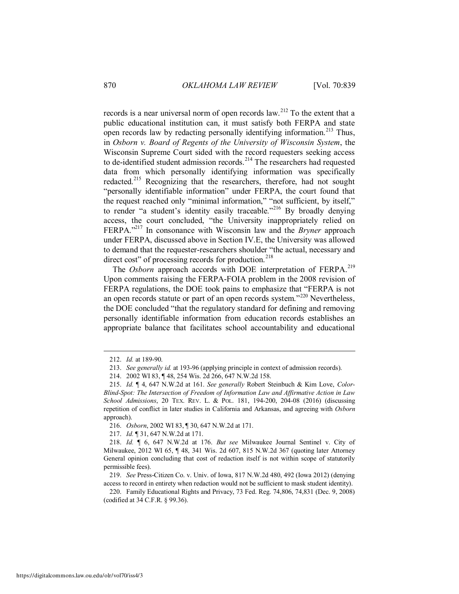records is a near universal norm of open records law.<sup>212</sup> To the extent that a public educational institution can, it must satisfy both FERPA and state open records law by redacting personally identifying information.<sup>213</sup> Thus, in *Osborn v. Board of Regents of the University of Wisconsin System*, the Wisconsin Supreme Court sided with the record requesters seeking access to de-identified student admission records.<sup>214</sup> The researchers had requested data from which personally identifying information was specifically redacted.<sup>215</sup> Recognizing that the researchers, therefore, had not sought "personally identifiable information" under FERPA, the court found that the request reached only "minimal information," "not sufficient, by itself," to render "a student's identity easily traceable."<sup>216</sup> By broadly denying access, the court concluded, "the University inappropriately relied on FERPA."<sup>217</sup> In consonance with Wisconsin law and the *Bryner* approach under FERPA, discussed above in Section IV.E, the University was allowed to demand that the requester-researchers shoulder "the actual, necessary and direct cost" of processing records for production.<sup>218</sup>

The *Osborn* approach accords with DOE interpretation of FERPA.<sup>219</sup> Upon comments raising the FERPA-FOIA problem in the 2008 revision of FERPA regulations, the DOE took pains to emphasize that "FERPA is not an open records statute or part of an open records system."<sup>220</sup> Nevertheless, the DOE concluded "that the regulatory standard for defining and removing personally identifiable information from education records establishes an appropriate balance that facilitates school accountability and educational

 <sup>212.</sup> *Id.* at 189-90.

 <sup>213.</sup> *See generally id.* at 193-96 (applying principle in context of admission records).

 <sup>214. 2002</sup> WI 83, ¶ 48, 254 Wis. 2d 266, 647 N.W.2d 158.

 <sup>215.</sup> *Id.* ¶ 4, 647 N.W.2d at 161. *See generally* Robert Steinbuch & Kim Love, *Color-Blind-Spot: The Intersection of Freedom of Information Law and Affirmative Action in Law School Admissions*, 20 TEX. REV. L. & POL. 181, 194-200, 204-08 (2016) (discussing repetition of conflict in later studies in California and Arkansas, and agreeing with *Osborn* approach).

 <sup>216.</sup> *Osborn*, 2002 WI 83, ¶ 30, 647 N.W.2d at 171.

 <sup>217.</sup> *Id.* ¶ 31, 647 N.W.2d at 171.

 <sup>218.</sup> *Id.* ¶ 6, 647 N.W.2d at 176. *But see* Milwaukee Journal Sentinel v. City of Milwaukee, 2012 WI 65, ¶ 48, 341 Wis. 2d 607, 815 N.W.2d 367 (quoting later Attorney General opinion concluding that cost of redaction itself is not within scope of statutorily permissible fees).

 <sup>219.</sup> *See* Press-Citizen Co. v. Univ. of Iowa, 817 N.W.2d 480, 492 (Iowa 2012) (denying access to record in entirety when redaction would not be sufficient to mask student identity).

 <sup>220.</sup> Family Educational Rights and Privacy, 73 Fed. Reg. 74,806, 74,831 (Dec. 9, 2008) (codified at 34 C.F.R. § 99.36).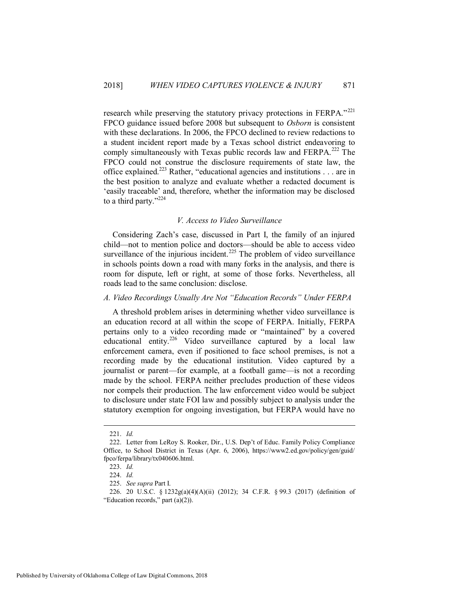research while preserving the statutory privacy protections in FERPA."<sup>221</sup> FPCO guidance issued before 2008 but subsequent to *Osborn* is consistent with these declarations. In 2006, the FPCO declined to review redactions to a student incident report made by a Texas school district endeavoring to comply simultaneously with Texas public records law and FERPA.<sup>222</sup> The FPCO could not construe the disclosure requirements of state law, the office explained.<sup>223</sup> Rather, "educational agencies and institutions . . . are in the best position to analyze and evaluate whether a redacted document is 'easily traceable' and, therefore, whether the information may be disclosed to a third party."<sup>224</sup>

#### *V. Access to Video Surveillance*

<span id="page-33-0"></span>Considering Zach's case, discussed in Part I, the family of an injured child—not to mention police and doctors—should be able to access video surveillance of the injurious incident.<sup>225</sup> The problem of video surveillance in schools points down a road with many forks in the analysis, and there is room for dispute, left or right, at some of those forks. Nevertheless, all roads lead to the same conclusion: disclose.

## <span id="page-33-1"></span>*A. Video Recordings Usually Are Not "Education Records" Under FERPA*

A threshold problem arises in determining whether video surveillance is an education record at all within the scope of FERPA. Initially, FERPA pertains only to a video recording made or "maintained" by a covered educational entity.<sup>226</sup> Video surveillance captured by a local law enforcement camera, even if positioned to face school premises, is not a recording made by the educational institution. Video captured by a journalist or parent—for example, at a football game—is not a recording made by the school. FERPA neither precludes production of these videos nor compels their production. The law enforcement video would be subject to disclosure under state FOI law and possibly subject to analysis under the statutory exemption for ongoing investigation, but FERPA would have no

 <sup>221.</sup> *Id.*

 <sup>222.</sup> Letter from LeRoy S. Rooker, Dir., U.S. Dep't of Educ. Family Policy Compliance Office, to School District in Texas (Apr. 6, 2006), https://www2.ed.gov/policy/gen/guid/ fpco/ferpa/library/tx040606.html.

 <sup>223.</sup> *Id.*

 <sup>224.</sup> *Id.*

 <sup>225.</sup> *See supra* Part I.

 <sup>226. 20</sup> U.S.C. § 1232g(a)(4)(A)(ii) (2012); 34 C.F.R. § 99.3 (2017) (definition of "Education records," part (a)(2)).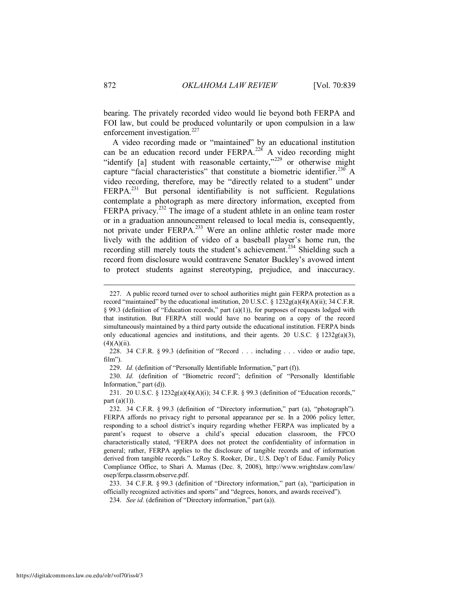bearing. The privately recorded video would lie beyond both FERPA and FOI law, but could be produced voluntarily or upon compulsion in a law enforcement investigation.<sup>227</sup>

A video recording made or "maintained" by an educational institution can be an education record under FERPA.<sup>228</sup> A video recording might "identify [a] student with reasonable certainty,"<sup>229</sup> or otherwise might capture "facial characteristics" that constitute a biometric identifier.<sup>230</sup> A video recording, therefore, may be "directly related to a student" under FERPA.<sup>231</sup> But personal identifiability is not sufficient. Regulations contemplate a photograph as mere directory information, excepted from FERPA privacy.<sup>232</sup> The image of a student athlete in an online team roster or in a graduation announcement released to local media is, consequently, not private under FERPA.<sup>233</sup> Were an online athletic roster made more lively with the addition of video of a baseball player's home run, the recording still merely touts the student's achievement.<sup>234</sup> Shielding such a record from disclosure would contravene Senator Buckley's avowed intent to protect students against stereotyping, prejudice, and inaccuracy.

 <sup>227.</sup> A public record turned over to school authorities might gain FERPA protection as a record "maintained" by the educational institution, 20 U.S.C. § 1232g(a)(4)(A)(ii); 34 C.F.R. § 99.3 (definition of "Education records," part (a)(1)), for purposes of requests lodged with that institution. But FERPA still would have no bearing on a copy of the record simultaneously maintained by a third party outside the educational institution. FERPA binds only educational agencies and institutions, and their agents. 20 U.S.C. § 1232g(a)(3),  $(4)(A)(ii)$ .

 <sup>228. 34</sup> C.F.R. § 99.3 (definition of "Record . . . including . . . video or audio tape, film").

 <sup>229.</sup> *Id.* (definition of "Personally Identifiable Information," part (f)).

 <sup>230.</sup> *Id.* (definition of "Biometric record"; definition of "Personally Identifiable Information," part (d)).

 <sup>231. 20</sup> U.S.C. § 1232g(a)(4)(A)(i); 34 C.F.R. § 99.3 (definition of "Education records," part  $(a)(1)$ ).

 <sup>232. 34</sup> C.F.R. § 99.3 (definition of "Directory information," part (a), "photograph"). FERPA affords no privacy right to personal appearance per se. In a 2006 policy letter, responding to a school district's inquiry regarding whether FERPA was implicated by a parent's request to observe a child's special education classroom, the FPCO characteristically stated, "FERPA does not protect the confidentiality of information in general; rather, FERPA applies to the disclosure of tangible records and of information derived from tangible records." LeRoy S. Rooker, Dir., U.S. Dep't of Educ. Family Policy Compliance Office, to Shari A. Mamas (Dec. 8, 2008), http://www.wrightslaw.com/law/ osep/ferpa.classrm.observe.pdf.

 <sup>233. 34</sup> C.F.R. § 99.3 (definition of "Directory information," part (a), "participation in officially recognized activities and sports" and "degrees, honors, and awards received").

 <sup>234.</sup> *See id.* (definition of "Directory information," part (a)).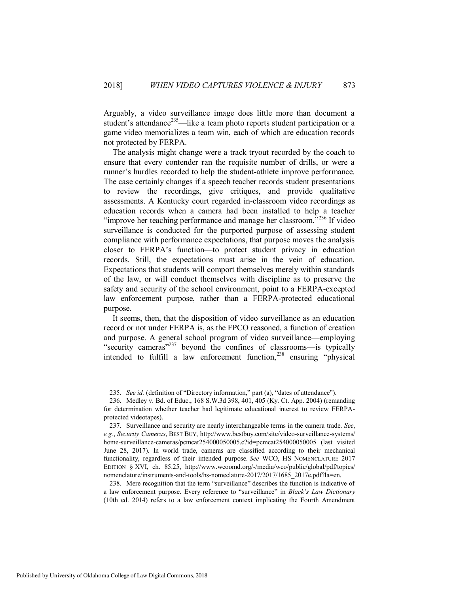Arguably, a video surveillance image does little more than document a student's attendance<sup>235</sup>—like a team photo reports student participation or a game video memorializes a team win, each of which are education records not protected by FERPA.

The analysis might change were a track tryout recorded by the coach to ensure that every contender ran the requisite number of drills, or were a runner's hurdles recorded to help the student-athlete improve performance. The case certainly changes if a speech teacher records student presentations to review the recordings, give critiques, and provide qualitative assessments. A Kentucky court regarded in-classroom video recordings as education records when a camera had been installed to help a teacher "improve her teaching performance and manage her classroom."<sup>236</sup> If video surveillance is conducted for the purported purpose of assessing student compliance with performance expectations, that purpose moves the analysis closer to FERPA's function—to protect student privacy in education records. Still, the expectations must arise in the vein of education. Expectations that students will comport themselves merely within standards of the law, or will conduct themselves with discipline as to preserve the safety and security of the school environment, point to a FERPA-excepted law enforcement purpose, rather than a FERPA-protected educational purpose.

It seems, then, that the disposition of video surveillance as an education record or not under FERPA is, as the FPCO reasoned, a function of creation and purpose. A general school program of video surveillance—employing "security cameras"<sup>237</sup> beyond the confines of classrooms—is typically intended to fulfill a law enforcement function, $^{238}$  ensuring "physical

 238. Mere recognition that the term "surveillance" describes the function is indicative of a law enforcement purpose. Every reference to "surveillance" in *Black's Law Dictionary* (10th ed. 2014) refers to a law enforcement context implicating the Fourth Amendment

 <sup>235.</sup> *See id.* (definition of "Directory information," part (a), "dates of attendance").

 <sup>236.</sup> Medley v. Bd. of Educ., 168 S.W.3d 398, 401, 405 (Ky. Ct. App. 2004) (remanding for determination whether teacher had legitimate educational interest to review FERPAprotected videotapes).

 <sup>237.</sup> Surveillance and security are nearly interchangeable terms in the camera trade. *See*, *e.g.*, *Security Cameras*, BEST BUY, http://www.bestbuy.com/site/video-surveillance-systems/ home-surveillance-cameras/pcmcat254000050005.c?id=pcmcat254000050005 (last visited June 28, 2017). In world trade, cameras are classified according to their mechanical functionality, regardless of their intended purpose. *See* WCO, HS NOMENCLATURE 2017 EDITION § XVI, ch. 85.25, http://www.wcoomd.org/-/media/wco/public/global/pdf/topics/ nomenclature/instruments-and-tools/hs-nomeclature-2017/2017/1685\_2017e.pdf?la=en.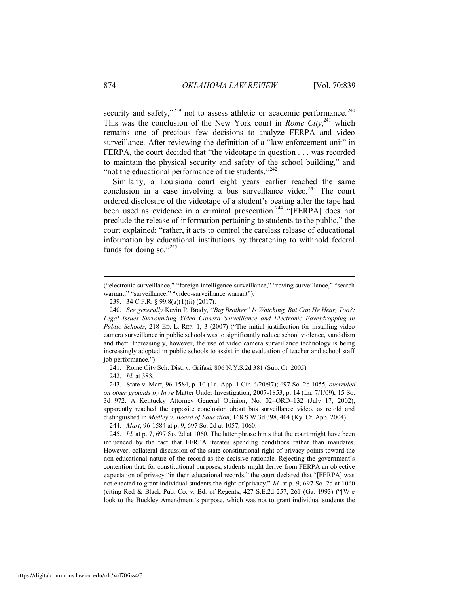security and safety," $^{239}$  not to assess athletic or academic performance. $^{240}$ This was the conclusion of the New York court in *Rome City*,<sup>241</sup> which remains one of precious few decisions to analyze FERPA and video surveillance. After reviewing the definition of a "law enforcement unit" in FERPA, the court decided that "the videotape in question . . . was recorded to maintain the physical security and safety of the school building," and "not the educational performance of the students."<sup>242</sup>

Similarly, a Louisiana court eight years earlier reached the same conclusion in a case involving a bus surveillance video.<sup>243</sup> The court ordered disclosure of the videotape of a student's beating after the tape had been used as evidence in a criminal prosecution.<sup>244</sup> "[FERPA] does not preclude the release of information pertaining to students to the public," the court explained; "rather, it acts to control the careless release of educational information by educational institutions by threatening to withhold federal funds for doing so." $^{245}$ 

241. Rome City Sch. Dist. v. Grifasi, 806 N.Y.S.2d 381 (Sup. Ct. 2005).

242. *Id.* at 383.

 243. State v. Mart, 96-1584, p. 10 (La. App. 1 Cir. 6/20/97); 697 So. 2d 1055, *overruled on other grounds by In re* Matter Under Investigation, 2007-1853, p. 14 (La. 7/1/09), 15 So. 3d 972. A Kentucky Attorney General Opinion, No. 02–ORD–132 (July 17, 2002), apparently reached the opposite conclusion about bus surveillance video, as retold and distinguished in *Medley v. Board of Education*, 168 S.W.3d 398, 404 (Ky. Ct. App. 2004).

244. *Mart*, 96-1584 at p. 9, 697 So. 2d at 1057, 1060.

 245. *Id.* at p. 7, 697 So. 2d at 1060. The latter phrase hints that the court might have been influenced by the fact that FERPA iterates spending conditions rather than mandates. However, collateral discussion of the state constitutional right of privacy points toward the non-educational nature of the record as the decisive rationale. Rejecting the government's contention that, for constitutional purposes, students might derive from FERPA an objective expectation of privacy "in their educational records," the court declared that "[FERPA] was not enacted to grant individual students the right of privacy." *Id.* at p. 9, 697 So. 2d at 1060 (citing Red & Black Pub. Co. v. Bd. of Regents, 427 S.E.2d 257, 261 (Ga. 1993) ("[W]e look to the Buckley Amendment's purpose, which was not to grant individual students the

<sup>(&</sup>quot;electronic surveillance," "foreign intelligence surveillance," "roving surveillance," "search warrant," "surveillance," "video-surveillance warrant").

 <sup>239. 34</sup> C.F.R. § 99.8(a)(1)(ii) (2017).

 <sup>240.</sup> *See generally* Kevin P. Brady, *"Big Brother" Is Watching, But Can He Hear, Too?:*  Legal Issues Surrounding Video Camera Surveillance and Electronic Eavesdropping in *Public Schools*, 218 ED. L. REP. 1, 3 (2007) ("The initial justification for installing video camera surveillance in public schools was to significantly reduce school violence, vandalism and theft. Increasingly, however, the use of video camera surveillance technology is being increasingly adopted in public schools to assist in the evaluation of teacher and school staff job performance.").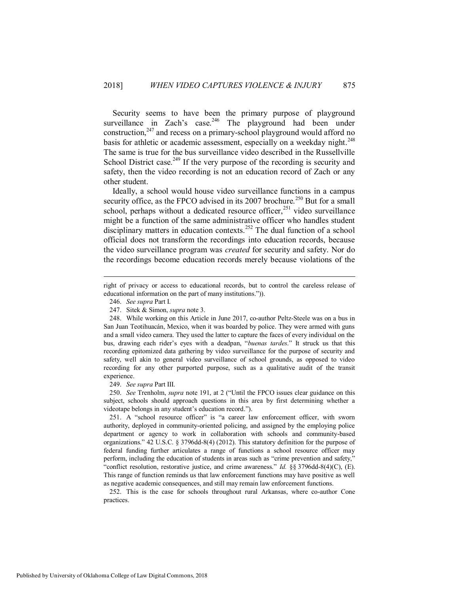Security seems to have been the primary purpose of playground surveillance in Zach's case.<sup>246</sup> The playground had been under construction, $^{247}$  and recess on a primary-school playground would afford no basis for athletic or academic assessment, especially on a weekday night.<sup>248</sup> The same is true for the bus surveillance video described in the Russellville School District case.<sup>249</sup> If the very purpose of the recording is security and safety, then the video recording is not an education record of Zach or any other student.

Ideally, a school would house video surveillance functions in a campus security office, as the FPCO advised in its 2007 brochure.<sup>250</sup> But for a small school, perhaps without a dedicated resource officer,<sup>251</sup> video surveillance might be a function of the same administrative officer who handles student disciplinary matters in education contexts.<sup>252</sup> The dual function of a school official does not transform the recordings into education records, because the video surveillance program was *created* for security and safety. Nor do the recordings become education records merely because violations of the

 $\overline{a}$ 

249. *See supra* Part III.

 250. *See* Trenholm, *supra* note [191](#page-28-1), at 2 ("Until the FPCO issues clear guidance on this subject, schools should approach questions in this area by first determining whether a videotape belongs in any student's education record.").

 251. A "school resource officer" is "a career law enforcement officer, with sworn authority, deployed in community-oriented policing, and assigned by the employing police department or agency to work in collaboration with schools and community-based organizations." 42 U.S.C. § 3796dd-8(4) (2012). This statutory definition for the purpose of federal funding further articulates a range of functions a school resource officer may perform, including the education of students in areas such as "crime prevention and safety," "conflict resolution, restorative justice, and crime awareness." *Id.* §§ 3796dd-8(4)(C), (E). This range of function reminds us that law enforcement functions may have positive as well as negative academic consequences, and still may remain law enforcement functions.

 252. This is the case for schools throughout rural Arkansas, where co-author Cone practices.

right of privacy or access to educational records, but to control the careless release of educational information on the part of many institutions.")).

 <sup>246.</sup> *See supra* Part I.

 <sup>247.</sup> Sitek & Simon, *supra* not[e 3.](#page-2-2) 

 <sup>248.</sup> While working on this Article in June 2017, co-author Peltz-Steele was on a bus in San Juan Teotihuacán, Mexico, when it was boarded by police. They were armed with guns and a small video camera. They used the latter to capture the faces of every individual on the bus, drawing each rider's eyes with a deadpan, "*buenas tardes*." It struck us that this recording epitomized data gathering by video surveillance for the purpose of security and safety, well akin to general video surveillance of school grounds, as opposed to video recording for any other purported purpose, such as a qualitative audit of the transit experience.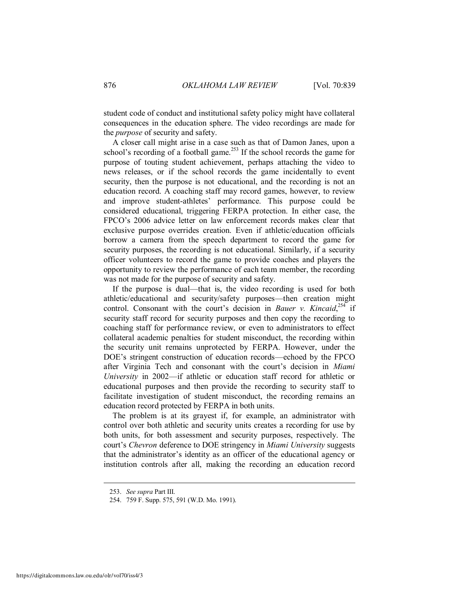student code of conduct and institutional safety policy might have collateral consequences in the education sphere. The video recordings are made for the *purpose* of security and safety.

A closer call might arise in a case such as that of Damon Janes, upon a school's recording of a football game.<sup>253</sup> If the school records the game for purpose of touting student achievement, perhaps attaching the video to news releases, or if the school records the game incidentally to event security, then the purpose is not educational, and the recording is not an education record. A coaching staff may record games, however, to review and improve student-athletes' performance. This purpose could be considered educational, triggering FERPA protection. In either case, the FPCO's 2006 advice letter on law enforcement records makes clear that exclusive purpose overrides creation. Even if athletic/education officials borrow a camera from the speech department to record the game for security purposes, the recording is not educational. Similarly, if a security officer volunteers to record the game to provide coaches and players the opportunity to review the performance of each team member, the recording was not made for the purpose of security and safety.

If the purpose is dual—that is, the video recording is used for both athletic/educational and security/safety purposes—then creation might control. Consonant with the court's decision in *Bauer v. Kincaid*, <sup>254</sup> if security staff record for security purposes and then copy the recording to coaching staff for performance review, or even to administrators to effect collateral academic penalties for student misconduct, the recording within the security unit remains unprotected by FERPA. However, under the DOE's stringent construction of education records—echoed by the FPCO after Virginia Tech and consonant with the court's decision in *Miami University* in 2002—if athletic or education staff record for athletic or educational purposes and then provide the recording to security staff to facilitate investigation of student misconduct, the recording remains an education record protected by FERPA in both units.

The problem is at its grayest if, for example, an administrator with control over both athletic and security units creates a recording for use by both units, for both assessment and security purposes, respectively. The court's *Chevron* deference to DOE stringency in *Miami University* suggests that the administrator's identity as an officer of the educational agency or institution controls after all, making the recording an education record

 <sup>253.</sup> *See supra* Part III.

 <sup>254. 759</sup> F. Supp. 575, 591 (W.D. Mo. 1991).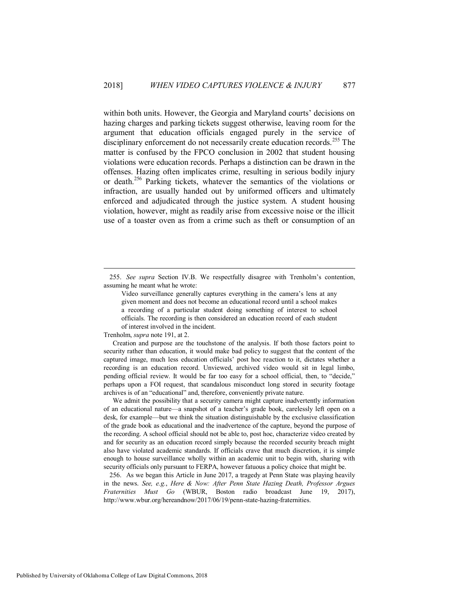within both units. However, the Georgia and Maryland courts' decisions on hazing charges and parking tickets suggest otherwise, leaving room for the argument that education officials engaged purely in the service of disciplinary enforcement do not necessarily create education records.<sup>255</sup> The matter is confused by the FPCO conclusion in 2002 that student housing violations were education records. Perhaps a distinction can be drawn in the offenses. Hazing often implicates crime, resulting in serious bodily injury or death.<sup>256</sup> Parking tickets, whatever the semantics of the violations or infraction, are usually handed out by uniformed officers and ultimately enforced and adjudicated through the justice system. A student housing violation, however, might as readily arise from excessive noise or the illicit use of a toaster oven as from a crime such as theft or consumption of an

Trenholm, *supra* not[e 191,](#page-28-1) at 2.

 $\overline{a}$ 

Creation and purpose are the touchstone of the analysis. If both those factors point to security rather than education, it would make bad policy to suggest that the content of the captured image, much less education officials' post hoc reaction to it, dictates whether a recording is an education record. Unviewed, archived video would sit in legal limbo, pending official review. It would be far too easy for a school official, then, to "decide," perhaps upon a FOI request, that scandalous misconduct long stored in security footage archives is of an "educational" and, therefore, conveniently private nature.

We admit the possibility that a security camera might capture inadvertently information of an educational nature—a snapshot of a teacher's grade book, carelessly left open on a desk, for example—but we think the situation distinguishable by the exclusive classification of the grade book as educational and the inadvertence of the capture, beyond the purpose of the recording. A school official should not be able to, post hoc, characterize video created by and for security as an education record simply because the recorded security breach might also have violated academic standards. If officials crave that much discretion, it is simple enough to house surveillance wholly within an academic unit to begin with, sharing with security officials only pursuant to FERPA, however fatuous a policy choice that might be.

 256. As we began this Article in June 2017, a tragedy at Penn State was playing heavily in the news. *See, e.g.*, *Here & Now: After Penn State Hazing Death, Professor Argues Fraternities Must Go* (WBUR, Boston radio broadcast June 19, 2017), http://www.wbur.org/hereandnow/2017/06/19/penn-state-hazing-fraternities.

 <sup>255.</sup> *See supra* Section IV.B. We respectfully disagree with Trenholm's contention, assuming he meant what he wrote:

Video surveillance generally captures everything in the camera's lens at any given moment and does not become an educational record until a school makes a recording of a particular student doing something of interest to school officials. The recording is then considered an education record of each student of interest involved in the incident.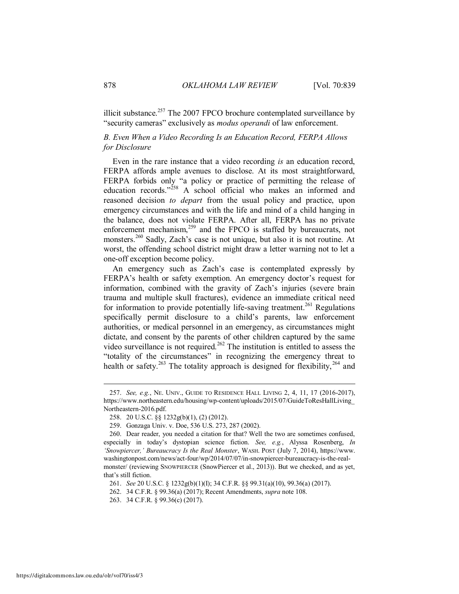illicit substance. $257$  The 2007 FPCO brochure contemplated surveillance by "security cameras" exclusively as *modus operandi* of law enforcement.

## <span id="page-40-0"></span>*B. Even When a Video Recording Is an Education Record, FERPA Allows for Disclosure*

Even in the rare instance that a video recording *is* an education record, FERPA affords ample avenues to disclose. At its most straightforward, FERPA forbids only "a policy or practice of permitting the release of education records."<sup>258</sup> A school official who makes an informed and reasoned decision *to depart* from the usual policy and practice, upon emergency circumstances and with the life and mind of a child hanging in the balance, does not violate FERPA. After all, FERPA has no private enforcement mechanism,<sup>259</sup> and the FPCO is staffed by bureaucrats, not monsters.<sup>260</sup> Sadly, Zach's case is not unique, but also it is not routine. At worst, the offending school district might draw a letter warning not to let a one-off exception become policy.

An emergency such as Zach's case is contemplated expressly by FERPA's health or safety exemption. An emergency doctor's request for information, combined with the gravity of Zach's injuries (severe brain trauma and multiple skull fractures), evidence an immediate critical need for information to provide potentially life-saving treatment.<sup>261</sup> Regulations specifically permit disclosure to a child's parents, law enforcement authorities, or medical personnel in an emergency, as circumstances might dictate, and consent by the parents of other children captured by the same video surveillance is not required.<sup>262</sup> The institution is entitled to assess the "totality of the circumstances" in recognizing the emergency threat to health or safety.<sup>263</sup> The totality approach is designed for flexibility,<sup>264</sup> and

 <sup>257.</sup> *See, e.g.*, NE. UNIV., GUIDE TO RESIDENCE HALL LIVING 2, 4, 11, 17 (2016-2017), https://www.northeastern.edu/housing/wp-content/uploads/2015/07/GuideToResHallLiving\_ Northeastern-2016.pdf.

 <sup>258. 20</sup> U.S.C. §§ 1232g(b)(1), (2) (2012).

 <sup>259.</sup> Gonzaga Univ. v. Doe, 536 U.S. 273, 287 (2002).

 <sup>260.</sup> Dear reader, you needed a citation for that? Well the two are sometimes confused, especially in today's dystopian science fiction. *See, e.g.*, Alyssa Rosenberg, *In 'Snowpiercer,' Bureaucracy Is the Real Monster*, WASH. POST (July 7, 2014), https://www. washingtonpost.com/news/act-four/wp/2014/07/07/in-snowpiercer-bureaucracy-is-the-realmonster/ (reviewing SNOWPIERCER (SnowPiercer et al., 2013)). But we checked, and as yet, that's still fiction.

 <sup>261.</sup> *See* 20 U.S.C. § 1232g(b)(1)(I); 34 C.F.R. §§ 99.31(a)(10), 99.36(a) (2017).

 <sup>262. 34</sup> C.F.R. § 99.36(a) (2017); Recent Amendments, *supra* not[e 108.](#page-16-3) 

 <sup>263. 34</sup> C.F.R. § 99.36(c) (2017).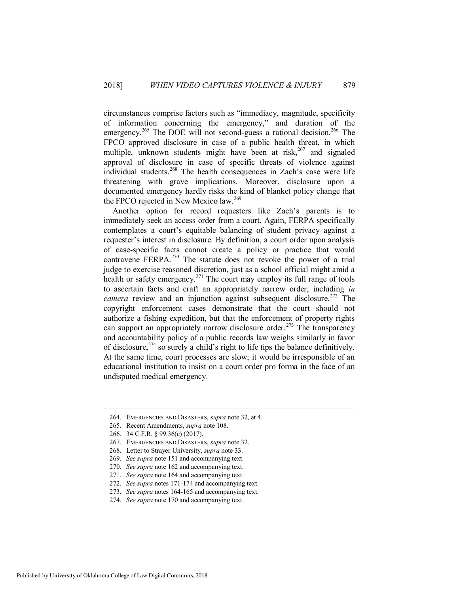circumstances comprise factors such as "immediacy, magnitude, specificity of information concerning the emergency," and duration of the emergency.<sup>265</sup> The DOE will not second-guess a rational decision.<sup>266</sup> The FPCO approved disclosure in case of a public health threat, in which multiple, unknown students might have been at risk,  $267$  and signaled approval of disclosure in case of specific threats of violence against individual students.<sup>268</sup> The health consequences in Zach's case were life threatening with grave implications. Moreover, disclosure upon a documented emergency hardly risks the kind of blanket policy change that the FPCO rejected in New Mexico law.<sup>269</sup>

Another option for record requesters like Zach's parents is to immediately seek an access order from a court. Again, FERPA specifically contemplates a court's equitable balancing of student privacy against a requester's interest in disclosure. By definition, a court order upon analysis of case-specific facts cannot create a policy or practice that would contravene FERPA.<sup>270</sup> The statute does not revoke the power of a trial judge to exercise reasoned discretion, just as a school official might amid a health or safety emergency.<sup>271</sup> The court may employ its full range of tools to ascertain facts and craft an appropriately narrow order, including *in camera* review and an injunction against subsequent disclosure.<sup>272</sup> The copyright enforcement cases demonstrate that the court should not authorize a fishing expedition, but that the enforcement of property rights can support an appropriately narrow disclosure order.<sup>273</sup> The transparency and accountability policy of a public records law weighs similarly in favor of disclosure,  $274$  so surely a child's right to life tips the balance definitively. At the same time, court processes are slow; it would be irresponsible of an educational institution to insist on a court order pro forma in the face of an undisputed medical emergency.

 <sup>264.</sup> EMERGENCIES AND DISASTERS, *supra* not[e 32,](#page-6-1) at 4.

 <sup>265.</sup> Recent Amendments, *supra* not[e 108.](#page-16-3)

 <sup>266. 34</sup> C.F.R. § 99.36(c) (2017).

 <sup>267.</sup> EMERGENCIES AND DISASTERS, *supra* not[e 32.](#page-6-1)

 <sup>268.</sup> Letter to Strayer University, *supra* not[e 33.](#page-6-0)

 <sup>269.</sup> *See supra* not[e 151](#page-23-0) and accompanying text.

 <sup>270.</sup> *See supra* not[e 162](#page-25-0) and accompanying text.

 <sup>271.</sup> *See supra* not[e 164](#page-25-1) and accompanying text.

 <sup>272.</sup> *See supra* note[s 171](#page-26-1)[-174](#page-26-2) and accompanying text.

 <sup>273.</sup> *See supra* note[s 164](#page-25-1)[-165](#page-25-2) and accompanying text.

 <sup>274.</sup> *See supra* not[e 170](#page-26-3) and accompanying text.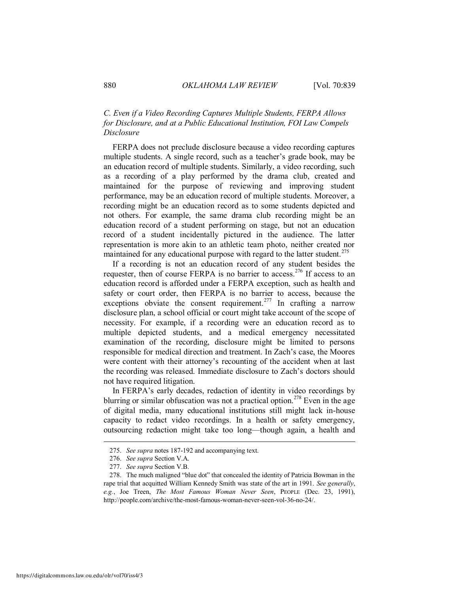## <span id="page-42-0"></span>*C. Even if a Video Recording Captures Multiple Students, FERPA Allows for Disclosure, and at a Public Educational Institution, FOI Law Compels Disclosure*

FERPA does not preclude disclosure because a video recording captures multiple students. A single record, such as a teacher's grade book, may be an education record of multiple students. Similarly, a video recording, such as a recording of a play performed by the drama club, created and maintained for the purpose of reviewing and improving student performance, may be an education record of multiple students. Moreover, a recording might be an education record as to some students depicted and not others. For example, the same drama club recording might be an education record of a student performing on stage, but not an education record of a student incidentally pictured in the audience. The latter representation is more akin to an athletic team photo, neither created nor maintained for any educational purpose with regard to the latter student.<sup>275</sup>

If a recording is not an education record of any student besides the requester, then of course FERPA is no barrier to access.<sup>276</sup> If access to an education record is afforded under a FERPA exception, such as health and safety or court order, then FERPA is no barrier to access, because the exceptions obviate the consent requirement.<sup>277</sup> In crafting a narrow disclosure plan, a school official or court might take account of the scope of necessity. For example, if a recording were an education record as to multiple depicted students, and a medical emergency necessitated examination of the recording, disclosure might be limited to persons responsible for medical direction and treatment. In Zach's case, the Moores were content with their attorney's recounting of the accident when at last the recording was released. Immediate disclosure to Zach's doctors should not have required litigation.

In FERPA's early decades, redaction of identity in video recordings by blurring or similar obfuscation was not a practical option.<sup>278</sup> Even in the age of digital media, many educational institutions still might lack in-house capacity to redact video recordings. In a health or safety emergency, outsourcing redaction might take too long—though again, a health and

 <sup>275.</sup> *See supra* note[s 187](#page-28-0)[-192](#page-29-1) and accompanying text.

 <sup>276.</sup> *See supra* Section V.A.

 <sup>277.</sup> *See supra* Section V.B.

 <sup>278.</sup> The much maligned "blue dot" that concealed the identity of Patricia Bowman in the rape trial that acquitted William Kennedy Smith was state of the art in 1991. *See generally*, *e.g.*, Joe Treen, *The Most Famous Woman Never Seen*, PEOPLE (Dec. 23, 1991), http://people.com/archive/the-most-famous-woman-never-seen-vol-36-no-24/.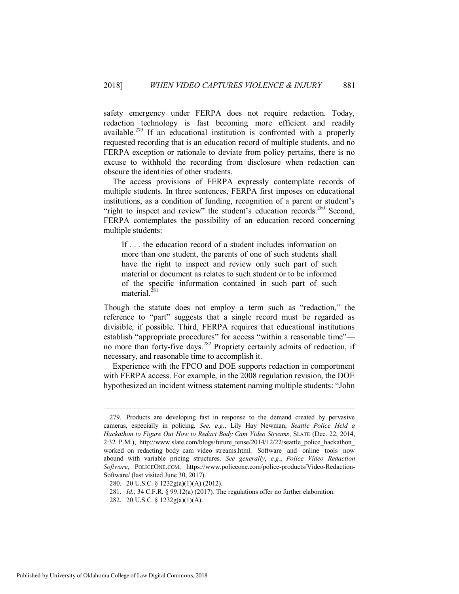safety emergency under FERPA does not require redaction. Today, redaction technology is fast becoming more efficient and readily available.<sup>279</sup> If an educational institution is confronted with a properly requested recording that is an education record of multiple students, and no FERPA exception or rationale to deviate from policy pertains, there is no excuse to withhold the recording from disclosure when redaction can obscure the identities of other students.

The access provisions of FERPA expressly contemplate records of multiple students. In three sentences, FERPA first imposes on educational institutions, as a condition of funding, recognition of a parent or student's "right to inspect and review" the student's education records.<sup>280</sup> Second, FERPA contemplates the possibility of an education record concerning multiple students:

If . . . the education record of a student includes information on more than one student, the parents of one of such students shall have the right to inspect and review only such part of such material or document as relates to such student or to be informed of the specific information contained in such part of such material. $^{281}$ 

Though the statute does not employ a term such as "redaction," the reference to "part" suggests that a single record must be regarded as divisible, if possible. Third, FERPA requires that educational institutions establish "appropriate procedures" for access "within a reasonable time"no more than forty-five days.<sup>282</sup> Propriety certainly admits of redaction, if necessary, and reasonable time to accomplish it.

Experience with the FPCO and DOE supports redaction in comportment with FERPA access. For example, in the 2008 regulation revision, the DOE hypothesized an incident witness statement naming multiple students: "John

 <sup>279.</sup> Products are developing fast in response to the demand created by pervasive cameras, especially in policing. *See, e.g.*, Lily Hay Newman, *Seattle Police Held a Hackathon to Figure Out How to Redact Body Cam Video Streams*, SLATE (Dec. 22, 2014, 2:32 P.M.), http://www.slate.com/blogs/future\_tense/2014/12/22/seattle\_police\_hackathon worked on redacting body cam video streams.html. Software and online tools now abound with variable pricing structures. *See generally*, *e.g.*, *Police Video Redaction Software*, POLICEONE.COM, https://www.policeone.com/police-products/Video-Redaction-Software/ (last visited June 30, 2017).

 <sup>280. 20</sup> U.S.C. § 1232g(a)(1)(A) (2012).

 <sup>281.</sup> *Id.*; 34 C.F.R. § 99.12(a) (2017). The regulations offer no further elaboration.

 <sup>282. 20</sup> U.S.C. § 1232g(a)(1)(A).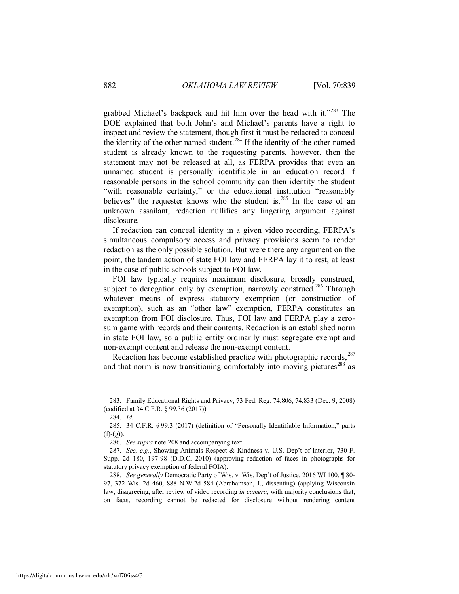grabbed Michael's backpack and hit him over the head with it."<sup>283</sup> The DOE explained that both John's and Michael's parents have a right to inspect and review the statement, though first it must be redacted to conceal the identity of the other named student.<sup>284</sup> If the identity of the other named student is already known to the requesting parents, however, then the statement may not be released at all, as FERPA provides that even an unnamed student is personally identifiable in an education record if reasonable persons in the school community can then identity the student "with reasonable certainty," or the educational institution "reasonably believes" the requester knows who the student is.<sup>285</sup> In the case of an unknown assailant, redaction nullifies any lingering argument against disclosure.

If redaction can conceal identity in a given video recording, FERPA's simultaneous compulsory access and privacy provisions seem to render redaction as the only possible solution. But were there any argument on the point, the tandem action of state FOI law and FERPA lay it to rest, at least in the case of public schools subject to FOI law.

FOI law typically requires maximum disclosure, broadly construed, subject to derogation only by exemption, narrowly construed.<sup>286</sup> Through whatever means of express statutory exemption (or construction of exemption), such as an "other law" exemption, FERPA constitutes an exemption from FOI disclosure. Thus, FOI law and FERPA play a zerosum game with records and their contents. Redaction is an established norm in state FOI law, so a public entity ordinarily must segregate exempt and non-exempt content and release the non-exempt content.

Redaction has become established practice with photographic records, $287$ and that norm is now transitioning comfortably into moving pictures<sup>288</sup> as

 <sup>283.</sup> Family Educational Rights and Privacy, 73 Fed. Reg. 74,806, 74,833 (Dec. 9, 2008) (codified at 34 C.F.R. § 99.36 (2017)).

 <sup>284.</sup> *Id.*

 <sup>285. 34</sup> C.F.R. § 99.3 (2017) (definition of "Personally Identifiable Information," parts  $(f)-(g)$ .

 <sup>286.</sup> *See supra* not[e 208](#page-31-0) and accompanying text.

 <sup>287.</sup> *See, e.g.*, Showing Animals Respect & Kindness v. U.S. Dep't of Interior, 730 F. Supp. 2d 180, 197-98 (D.D.C. 2010) (approving redaction of faces in photographs for statutory privacy exemption of federal FOIA).

 <sup>288.</sup> *See generally* Democratic Party of Wis. v. Wis. Dep't of Justice, 2016 WI 100, ¶ 80- 97, 372 Wis. 2d 460, 888 N.W.2d 584 (Abrahamson, J., dissenting) (applying Wisconsin law; disagreeing, after review of video recording *in camera*, with majority conclusions that, on facts, recording cannot be redacted for disclosure without rendering content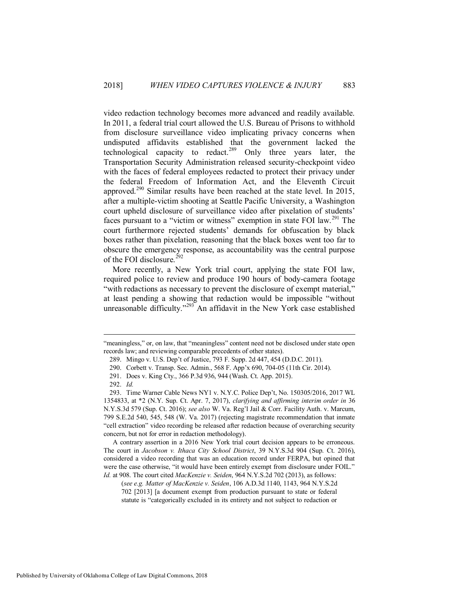video redaction technology becomes more advanced and readily available. In 2011, a federal trial court allowed the U.S. Bureau of Prisons to withhold from disclosure surveillance video implicating privacy concerns when undisputed affidavits established that the government lacked the technological capacity to redact.<sup>289</sup> Only three years later, the Transportation Security Administration released security-checkpoint video with the faces of federal employees redacted to protect their privacy under the federal Freedom of Information Act, and the Eleventh Circuit approved.<sup>290</sup> Similar results have been reached at the state level. In 2015, after a multiple-victim shooting at Seattle Pacific University, a Washington court upheld disclosure of surveillance video after pixelation of students' faces pursuant to a "victim or witness" exemption in state FOI law.<sup>291</sup> The court furthermore rejected students' demands for obfuscation by black boxes rather than pixelation, reasoning that the black boxes went too far to obscure the emergency response, as accountability was the central purpose of the FOI disclosure.<sup>292</sup>

More recently, a New York trial court, applying the state FOI law, required police to review and produce 190 hours of body-camera footage "with redactions as necessary to prevent the disclosure of exempt material," at least pending a showing that redaction would be impossible "without unreasonable difficulty."<sup>293</sup> An affidavit in the New York case established

 $\overline{a}$ 

A contrary assertion in a 2016 New York trial court decision appears to be erroneous. The court in *Jacobson v. Ithaca City School District*, 39 N.Y.S.3d 904 (Sup. Ct. 2016), considered a video recording that was an education record under FERPA, but opined that were the case otherwise, "it would have been entirely exempt from disclosure under FOIL." *Id.* at 908. The court cited *MacKenzie v. Seiden*, 964 N.Y.S.2d 702 (2013), as follows:

(*see e.g. Matter of MacKenzie v. Seiden*, 106 A.D.3d 1140, 1143, 964 N.Y.S.2d 702 [2013] [a document exempt from production pursuant to state or federal statute is "categorically excluded in its entirety and not subject to redaction or

<sup>&</sup>quot;meaningless," or, on law, that "meaningless" content need not be disclosed under state open records law; and reviewing comparable precedents of other states).

 <sup>289.</sup> Mingo v. U.S. Dep't of Justice, 793 F. Supp. 2d 447, 454 (D.D.C. 2011).

 <sup>290.</sup> Corbett v. Transp. Sec. Admin., 568 F. App'x 690, 704-05 (11th Cir. 2014).

 <sup>291.</sup> Does v. King Cty., 366 P.3d 936, 944 (Wash. Ct. App. 2015).

 <sup>292.</sup> *Id.*

 <sup>293.</sup> Time Warner Cable News NY1 v. N.Y.C. Police Dep't, No. 150305/2016, 2017 WL 1354833, at \*2 (N.Y. Sup. Ct. Apr. 7, 2017), *clarifying and affirming interim order in* 36 N.Y.S.3d 579 (Sup. Ct. 2016); *see also* W. Va. Reg'l Jail & Corr. Facility Auth. v. Marcum, 799 S.E.2d 540, 545, 548 (W. Va. 2017) (rejecting magistrate recommendation that inmate "cell extraction" video recording be released after redaction because of overarching security concern, but not for error in redaction methodology).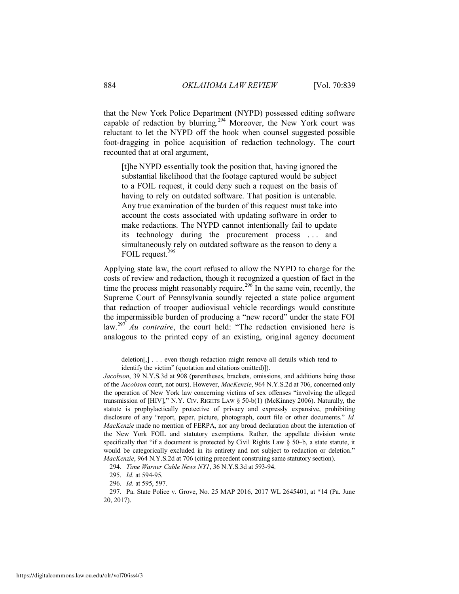that the New York Police Department (NYPD) possessed editing software capable of redaction by blurring.<sup>294</sup> Moreover, the New York court was reluctant to let the NYPD off the hook when counsel suggested possible foot-dragging in police acquisition of redaction technology. The court recounted that at oral argument,

[t]he NYPD essentially took the position that, having ignored the substantial likelihood that the footage captured would be subject to a FOIL request, it could deny such a request on the basis of having to rely on outdated software. That position is untenable. Any true examination of the burden of this request must take into account the costs associated with updating software in order to make redactions. The NYPD cannot intentionally fail to update its technology during the procurement process . . . and simultaneously rely on outdated software as the reason to deny a FOIL request.<sup>295</sup>

Applying state law, the court refused to allow the NYPD to charge for the costs of review and redaction, though it recognized a question of fact in the time the process might reasonably require.<sup>296</sup> In the same vein, recently, the Supreme Court of Pennsylvania soundly rejected a state police argument that redaction of trooper audiovisual vehicle recordings would constitute the impermissible burden of producing a "new record" under the state FOI law.<sup>297</sup> *Au contraire*, the court held: "The redaction envisioned here is analogous to the printed copy of an existing, original agency document

deletion[,] . . . even though redaction might remove all details which tend to identify the victim" (quotation and citations omitted)]).

*Jacobson*, 39 N.Y.S.3d at 908 (parentheses, brackets, omissions, and additions being those of the *Jacobson* court, not ours). However, *MacKenzie*, 964 N.Y.S.2d at 706, concerned only the operation of New York law concerning victims of sex offenses "involving the alleged transmission of [HIV]," N.Y. CIV. RIGHTS LAW § 50-b(1) (McKinney 2006). Naturally, the statute is prophylactically protective of privacy and expressly expansive, prohibiting disclosure of any "report, paper, picture, photograph, court file or other documents." *Id. MacKenzie* made no mention of FERPA, nor any broad declaration about the interaction of the New York FOIL and statutory exemptions. Rather, the appellate division wrote specifically that "if a document is protected by Civil Rights Law § 50–b, a state statute, it would be categorically excluded in its entirety and not subject to redaction or deletion." *MacKenzie*, 964 N.Y.S.2d at 706 (citing precedent construing same statutory section).

 <sup>294.</sup> *Time Warner Cable News NY1*, 36 N.Y.S.3d at 593-94.

 <sup>295.</sup> *Id.* at 594-95.

 <sup>296.</sup> *Id.* at 595, 597.

 <sup>297.</sup> Pa. State Police v. Grove, No. 25 MAP 2016, 2017 WL 2645401, at \*14 (Pa. June 20, 2017).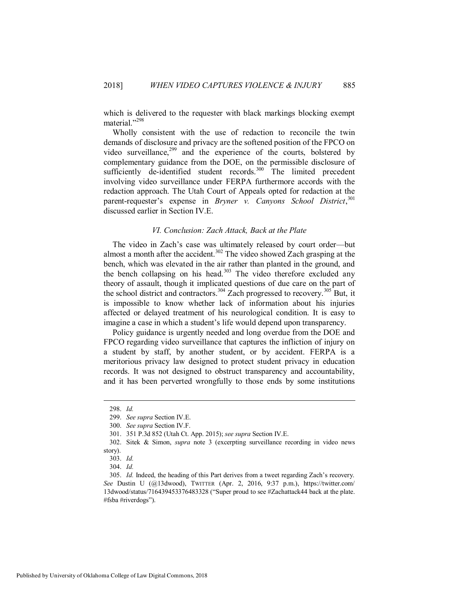which is delivered to the requester with black markings blocking exempt material."<sup>298</sup>

Wholly consistent with the use of redaction to reconcile the twin demands of disclosure and privacy are the softened position of the FPCO on video surveillance, $299$  and the experience of the courts, bolstered by complementary guidance from the DOE, on the permissible disclosure of sufficiently de-identified student records.<sup>300</sup> The limited precedent involving video surveillance under FERPA furthermore accords with the redaction approach. The Utah Court of Appeals opted for redaction at the parent-requester's expense in *Bryner v. Canyons School District*, 301 discussed earlier in Section IV.E.

## *VI. Conclusion: Zach Attack, Back at the Plate*

<span id="page-47-0"></span>The video in Zach's case was ultimately released by court order—but almost a month after the accident.<sup>302</sup> The video showed Zach grasping at the bench, which was elevated in the air rather than planted in the ground, and the bench collapsing on his head. $303$  The video therefore excluded any theory of assault, though it implicated questions of due care on the part of the school district and contractors.<sup>304</sup> Zach progressed to recovery.<sup>305</sup> But, it is impossible to know whether lack of information about his injuries affected or delayed treatment of his neurological condition. It is easy to imagine a case in which a student's life would depend upon transparency.

Policy guidance is urgently needed and long overdue from the DOE and FPCO regarding video surveillance that captures the infliction of injury on a student by staff, by another student, or by accident. FERPA is a meritorious privacy law designed to protect student privacy in education records. It was not designed to obstruct transparency and accountability, and it has been perverted wrongfully to those ends by some institutions

 <sup>298.</sup> *Id.*

 <sup>299.</sup> *See supra* Section IV.E.

 <sup>300.</sup> *See supra* Section IV.F.

 <sup>301. 351</sup> P.3d 852 (Utah Ct. App. 2015); *see supra* Section IV.E.

 <sup>302.</sup> Sitek & Simon, *supra* note [3](#page-2-2) (excerpting surveillance recording in video news story).

 <sup>303.</sup> *Id.* 

 <sup>304.</sup> *Id.*

 <sup>305.</sup> *Id.* Indeed, the heading of this Part derives from a tweet regarding Zach's recovery. *See* Dustin U (@13dwood), TWITTER (Apr. 2, 2016, 9:37 p.m.), https://twitter.com/ 13dwood/status/716439453376483328 ("Super proud to see #Zachattack44 back at the plate. #fsba #riverdogs").